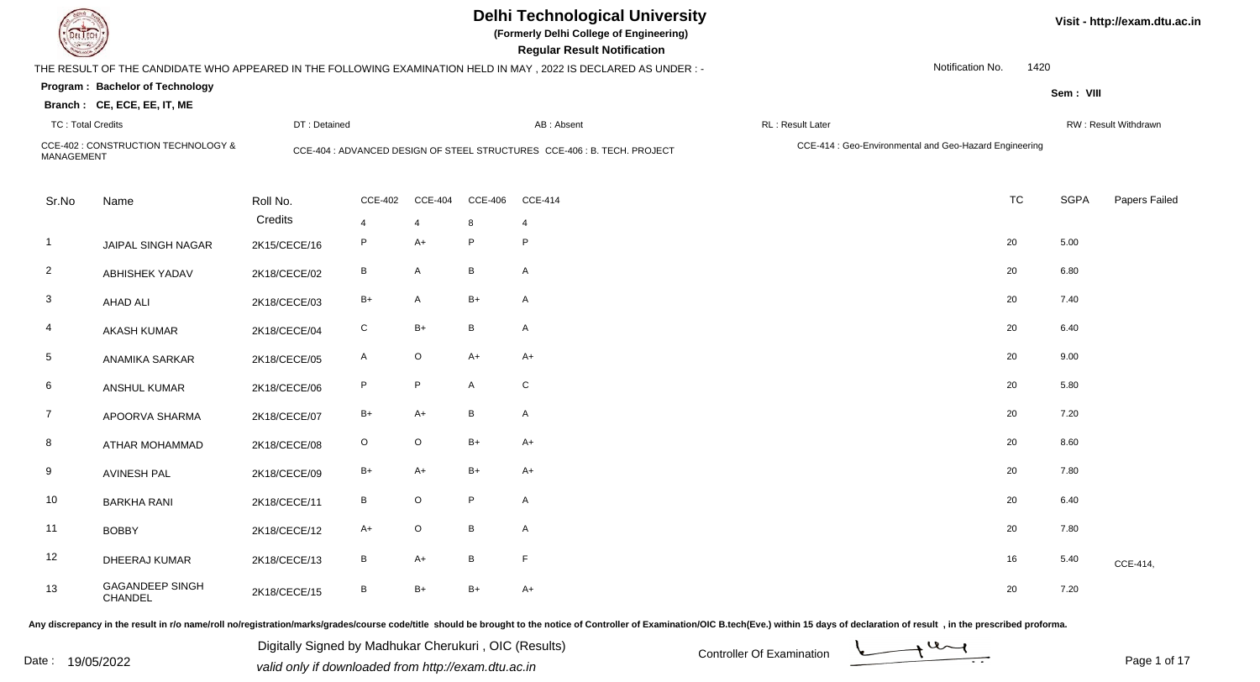| <b>DELTECH</b>           |                                                                | <b>Delhi Technological University</b><br>(Formerly Delhi College of Engineering)<br><b>Regular Result Notification</b> |                |                |                |                                                                                                                |                                                        | Visit - http://exam.dtu.ac.in |      |             |                      |  |
|--------------------------|----------------------------------------------------------------|------------------------------------------------------------------------------------------------------------------------|----------------|----------------|----------------|----------------------------------------------------------------------------------------------------------------|--------------------------------------------------------|-------------------------------|------|-------------|----------------------|--|
|                          |                                                                |                                                                                                                        |                |                |                | THE RESULT OF THE CANDIDATE WHO APPEARED IN THE FOLLOWING EXAMINATION HELD IN MAY, 2022 IS DECLARED AS UNDER:- |                                                        | Notification No.              | 1420 |             |                      |  |
|                          | Program: Bachelor of Technology<br>Branch: CE, ECE, EE, IT, ME |                                                                                                                        |                |                |                |                                                                                                                |                                                        |                               |      | Sem: VIII   |                      |  |
| <b>TC: Total Credits</b> |                                                                | DT: Detained                                                                                                           |                |                |                | AB: Absent                                                                                                     | RL: Result Later                                       |                               |      |             | RW: Result Withdrawn |  |
| MANAGEMENT               | CCE-402 : CONSTRUCTION TECHNOLOGY &                            |                                                                                                                        |                |                |                | CCE-404 : ADVANCED DESIGN OF STEEL STRUCTURES CCE-406 : B. TECH. PROJECT                                       | CCE-414 : Geo-Environmental and Geo-Hazard Engineering |                               |      |             |                      |  |
| Sr.No                    | Name                                                           | Roll No.                                                                                                               | <b>CCE-402</b> | <b>CCE-404</b> | <b>CCE-406</b> | <b>CCE-414</b>                                                                                                 |                                                        | <b>TC</b>                     |      | <b>SGPA</b> | Papers Failed        |  |
|                          |                                                                | Credits                                                                                                                | 4              | 4              | 8              | $\overline{4}$                                                                                                 |                                                        |                               |      |             |                      |  |
| $\mathbf{1}$             | JAIPAL SINGH NAGAR                                             | 2K15/CECE/16                                                                                                           | P              | $A+$           | P              | P                                                                                                              |                                                        | 20                            |      | 5.00        |                      |  |
| $\overline{2}$           | <b>ABHISHEK YADAV</b>                                          | 2K18/CECE/02                                                                                                           | В              | A              | B              | $\mathsf{A}$                                                                                                   |                                                        | 20                            |      | 6.80        |                      |  |
| 3                        | <b>AHAD ALI</b>                                                | 2K18/CECE/03                                                                                                           | B+             | $\mathsf{A}$   | $B+$           | $\mathsf{A}$                                                                                                   |                                                        | 20                            |      | 7.40        |                      |  |
| 4                        | <b>AKASH KUMAR</b>                                             | 2K18/CECE/04                                                                                                           | C              | $B+$           | B              | $\mathsf{A}$                                                                                                   |                                                        | 20                            |      | 6.40        |                      |  |
| $\overline{5}$           | <b>ANAMIKA SARKAR</b>                                          | 2K18/CECE/05                                                                                                           | A              | $\mathsf O$    | $A+$           | $A+$                                                                                                           |                                                        | 20                            |      | 9.00        |                      |  |
| 6                        | ANSHUL KUMAR                                                   | 2K18/CECE/06                                                                                                           | P              | $\mathsf P$    | A              | $\mathsf C$                                                                                                    |                                                        | 20                            |      | 5.80        |                      |  |
| $\overline{7}$           | APOORVA SHARMA                                                 | 2K18/CECE/07                                                                                                           | B+             | $A+$           | B              | $\mathsf{A}$                                                                                                   |                                                        | 20                            |      | 7.20        |                      |  |
| 8                        | ATHAR MOHAMMAD                                                 | 2K18/CECE/08                                                                                                           | O              | $\mathsf O$    | $B+$           | $A+$                                                                                                           |                                                        | 20                            |      | 8.60        |                      |  |
| 9                        | <b>AVINESH PAL</b>                                             | 2K18/CECE/09                                                                                                           | B+             | $A+$           | $B+$           | $A+$                                                                                                           |                                                        | 20                            |      | 7.80        |                      |  |
| 10                       | <b>BARKHA RANI</b>                                             | 2K18/CECE/11                                                                                                           | B              | $\mathsf O$    | P.             | A                                                                                                              |                                                        | 20                            |      | 6.40        |                      |  |
| 11                       | <b>BOBBY</b>                                                   | 2K18/CECE/12                                                                                                           | $A+$           | $\mathsf O$    | B              | $\mathsf{A}$                                                                                                   |                                                        | 20                            |      | 7.80        |                      |  |
| $12$                     | DHEERAJ KUMAR                                                  | 2K18/CECE/13                                                                                                           | В              | $A+$           | B              | $\mathsf F$                                                                                                    |                                                        | 16                            |      | 5.40        | CCE-414,             |  |
| 13                       | <b>GAGANDEEP SINGH</b><br>CHANDEL                              | 2K18/CECE/15                                                                                                           | В              | $B+$           | $B+$           | $A+$                                                                                                           |                                                        | 20                            |      | 7.20        |                      |  |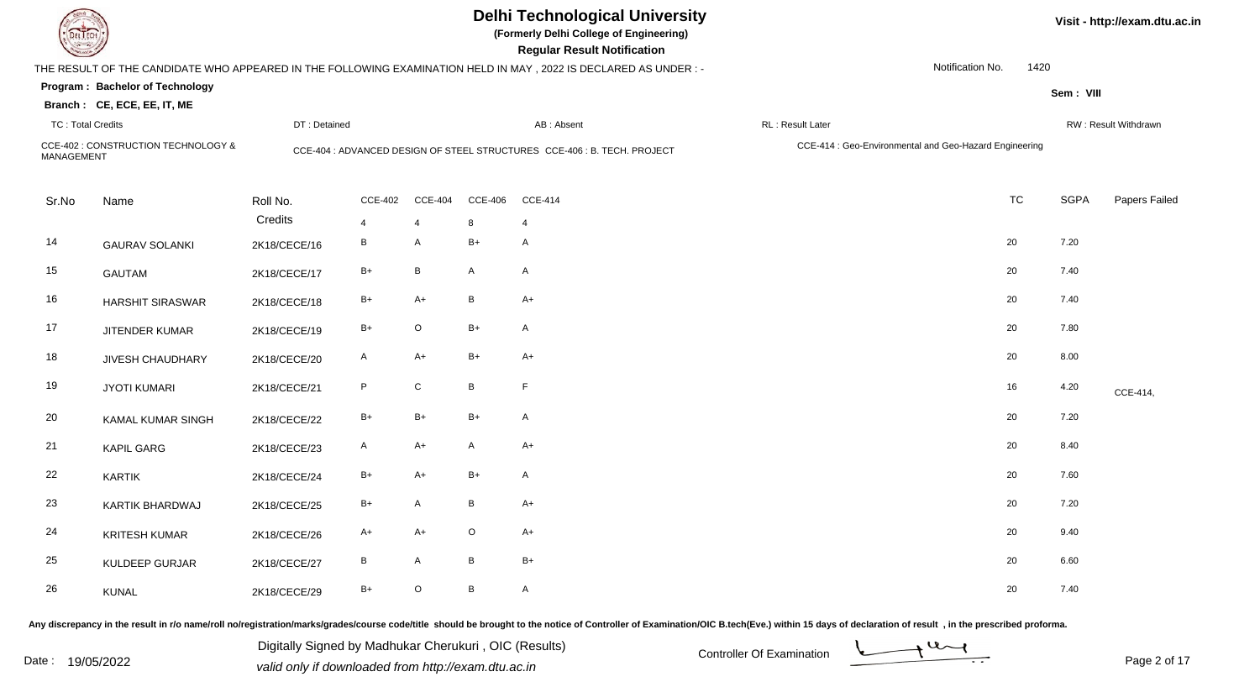|                          |                                                                |              |                         |                         |                 | <b>Delhi Technological University</b><br>(Formerly Delhi College of Engineering)<br><b>Regular Result Notification</b> |                                                        |                  |             | Visit - http://exam.dtu.ac.in |
|--------------------------|----------------------------------------------------------------|--------------|-------------------------|-------------------------|-----------------|------------------------------------------------------------------------------------------------------------------------|--------------------------------------------------------|------------------|-------------|-------------------------------|
|                          |                                                                |              |                         |                         |                 | THE RESULT OF THE CANDIDATE WHO APPEARED IN THE FOLLOWING EXAMINATION HELD IN MAY, 2022 IS DECLARED AS UNDER :-        |                                                        | Notification No. | 1420        |                               |
|                          | Program: Bachelor of Technology<br>Branch: CE, ECE, EE, IT, ME |              |                         |                         |                 |                                                                                                                        |                                                        |                  | Sem: VIII   |                               |
| <b>TC: Total Credits</b> |                                                                | DT: Detained |                         |                         |                 | AB: Absent                                                                                                             | RL: Result Later                                       |                  |             | RW: Result Withdrawn          |
| <b>MANAGEMENT</b>        | CCE-402 : CONSTRUCTION TECHNOLOGY &                            |              |                         |                         |                 | CCE-404 : ADVANCED DESIGN OF STEEL STRUCTURES CCE-406 : B. TECH. PROJECT                                               | CCE-414 : Geo-Environmental and Geo-Hazard Engineering |                  |             |                               |
| Sr.No                    | Name                                                           | Roll No.     | <b>CCE-402</b>          | <b>CCE-404</b>          | <b>CCE-406</b>  | <b>CCE-414</b>                                                                                                         |                                                        | <b>TC</b>        | <b>SGPA</b> | Papers Failed                 |
|                          |                                                                | Credits      | $\overline{\mathbf{A}}$ | $\overline{\mathbf{A}}$ | 8               | $\overline{\mathbf{A}}$                                                                                                |                                                        |                  |             |                               |
| 14                       | <b>GAURAV SOLANKI</b>                                          | 2K18/CECE/16 | В                       | A                       | $B+$            | $\mathsf{A}$                                                                                                           |                                                        | 20               | 7.20        |                               |
| 15                       | <b>GAUTAM</b>                                                  | 2K18/CECE/17 | $B+$                    | $\, {\bf B} \,$         | $\mathsf{A}$    | $\mathsf{A}$                                                                                                           |                                                        | 20               | 7.40        |                               |
| 16                       | <b>HARSHIT SIRASWAR</b>                                        | 2K18/CECE/18 | B+                      | $A+$                    | B               | $A+$                                                                                                                   |                                                        | 20               | 7.40        |                               |
| 17                       | JITENDER KUMAR                                                 | 2K18/CECE/19 | $B+$                    | $\mathsf O$             | $B+$            | $\mathsf{A}$                                                                                                           |                                                        | 20               | 7.80        |                               |
| 18                       | <b>JIVESH CHAUDHARY</b>                                        | 2K18/CECE/20 | $\mathsf{A}$            | $A+$                    | $B+$            | $A+$                                                                                                                   |                                                        | 20               | 8.00        |                               |
| 19                       | <b>JYOTI KUMARI</b>                                            | 2K18/CECE/21 | P                       | ${\bf C}$               | $\, {\bf B} \,$ | F                                                                                                                      |                                                        | 16               | 4.20        | CCE-414,                      |
| 20                       | KAMAL KUMAR SINGH                                              | 2K18/CECE/22 | $B+$                    | $B+$                    | $B+$            | $\mathsf{A}$                                                                                                           |                                                        | 20               | 7.20        |                               |
| 21                       | <b>KAPIL GARG</b>                                              | 2K18/CECE/23 | $\mathsf{A}$            | $A+$                    | $\mathsf{A}$    | $A+$                                                                                                                   |                                                        | 20               | 8.40        |                               |
| 22                       | <b>KARTIK</b>                                                  | 2K18/CECE/24 | B+                      | $A+$                    | $B+$            | $\mathsf{A}$                                                                                                           |                                                        | 20               | 7.60        |                               |
| 23                       | KARTIK BHARDWAJ                                                | 2K18/CECE/25 | B+                      | $\mathsf{A}$            | $\, {\bf B} \,$ | $A+$                                                                                                                   |                                                        | 20               | 7.20        |                               |
| 24                       | <b>KRITESH KUMAR</b>                                           | 2K18/CECE/26 | A+                      | $A+$                    | $\circ$         | $A+$                                                                                                                   |                                                        | 20               | 9.40        |                               |
| 25                       | KULDEEP GURJAR                                                 | 2K18/CECE/27 | В                       | A                       | B               | $B+$                                                                                                                   |                                                        | 20               | 6.60        |                               |
| 26                       | <b>KUNAL</b>                                                   | 2K18/CECE/29 | $B+$                    | $\mathsf O$             | B               | $\mathsf{A}$                                                                                                           |                                                        | 20               | 7.40        |                               |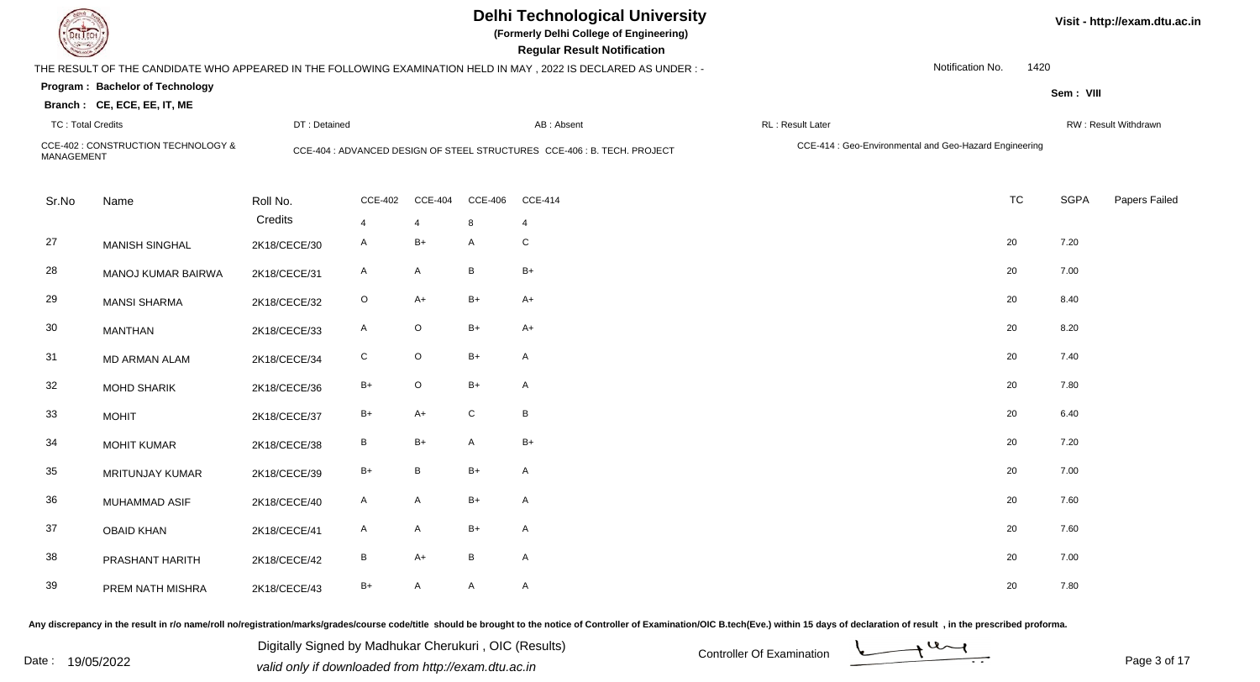|                          |                                                                |              |                |                |                | <b>Delhi Technological University</b><br>(Formerly Delhi College of Engineering)<br><b>Regular Result Notification</b> |                                                        |                  |      |             | Visit - http://exam.dtu.ac.in |
|--------------------------|----------------------------------------------------------------|--------------|----------------|----------------|----------------|------------------------------------------------------------------------------------------------------------------------|--------------------------------------------------------|------------------|------|-------------|-------------------------------|
|                          |                                                                |              |                |                |                | THE RESULT OF THE CANDIDATE WHO APPEARED IN THE FOLLOWING EXAMINATION HELD IN MAY , 2022 IS DECLARED AS UNDER :-       |                                                        | Notification No. | 1420 |             |                               |
|                          | Program: Bachelor of Technology<br>Branch: CE, ECE, EE, IT, ME |              |                |                |                |                                                                                                                        |                                                        |                  |      | Sem: VIII   |                               |
| <b>TC: Total Credits</b> |                                                                | DT: Detained |                |                |                | AB: Absent                                                                                                             | RL: Result Later                                       |                  |      |             | RW: Result Withdrawn          |
| <b>MANAGEMENT</b>        | CCE-402 : CONSTRUCTION TECHNOLOGY &                            |              |                |                |                | CCE-404 : ADVANCED DESIGN OF STEEL STRUCTURES CCE-406 : B. TECH. PROJECT                                               | CCE-414 : Geo-Environmental and Geo-Hazard Engineering |                  |      |             |                               |
| Sr.No                    | Name                                                           | Roll No.     | <b>CCE-402</b> | <b>CCE-404</b> | <b>CCE-406</b> | <b>CCE-414</b>                                                                                                         |                                                        | <b>TC</b>        |      | <b>SGPA</b> | Papers Failed                 |
|                          |                                                                | Credits      | 4              | $\overline{4}$ | 8              | $\overline{4}$                                                                                                         |                                                        |                  |      |             |                               |
| 27                       | <b>MANISH SINGHAL</b>                                          | 2K18/CECE/30 | $\mathsf{A}$   | $B+$           | $\mathsf{A}$   | ${\bf C}$                                                                                                              |                                                        | 20               |      | 7.20        |                               |
| 28                       | MANOJ KUMAR BAIRWA                                             | 2K18/CECE/31 | A              | $\mathsf{A}$   | B              | $B+$                                                                                                                   |                                                        | 20               |      | 7.00        |                               |
| 29                       | <b>MANSI SHARMA</b>                                            | 2K18/CECE/32 | $\circ$        | $A+$           | $B+$           | $A+$                                                                                                                   |                                                        | 20               |      | 8.40        |                               |
| 30                       | <b>MANTHAN</b>                                                 | 2K18/CECE/33 | $\mathsf{A}$   | $\mathsf O$    | $B+$           | $A+$                                                                                                                   |                                                        | 20               |      | 8.20        |                               |
| 31                       | MD ARMAN ALAM                                                  | 2K18/CECE/34 | ${\bf C}$      | $\mathsf O$    | $B+$           | A                                                                                                                      |                                                        | 20               |      | 7.40        |                               |
| 32                       | <b>MOHD SHARIK</b>                                             | 2K18/CECE/36 | $B+$           | $\mathsf O$    | $B+$           | A                                                                                                                      |                                                        | 20               |      | 7.80        |                               |
| 33                       | <b>MOHIT</b>                                                   | 2K18/CECE/37 | $B+$           | $A+$           | C              | $\sf B$                                                                                                                |                                                        | 20               |      | 6.40        |                               |
| 34                       | <b>MOHIT KUMAR</b>                                             | 2K18/CECE/38 | $\, {\sf B}$   | $B+$           | $\mathsf{A}$   | $B+$                                                                                                                   |                                                        | 20               |      | 7.20        |                               |
| 35                       | <b>MRITUNJAY KUMAR</b>                                         | 2K18/CECE/39 | $B+$           | $\, {\bf B}$   | $B+$           | A                                                                                                                      |                                                        | 20               |      | 7.00        |                               |
| 36                       | MUHAMMAD ASIF                                                  | 2K18/CECE/40 | $\mathsf{A}$   | $\mathsf{A}$   | $B+$           | A                                                                                                                      |                                                        | 20               |      | 7.60        |                               |
| 37                       | <b>OBAID KHAN</b>                                              | 2K18/CECE/41 | $\mathsf{A}$   | $\mathsf{A}$   | $B+$           | $\mathsf{A}$                                                                                                           |                                                        | 20               |      | 7.60        |                               |
| 38                       | PRASHANT HARITH                                                | 2K18/CECE/42 | B              | $A+$           | B              | $\mathsf{A}$                                                                                                           |                                                        | 20               |      | 7.00        |                               |
| 39                       | PREM NATH MISHRA                                               | 2K18/CECE/43 | B+             | $\mathsf{A}$   | A              | A                                                                                                                      |                                                        | 20               |      | 7.80        |                               |

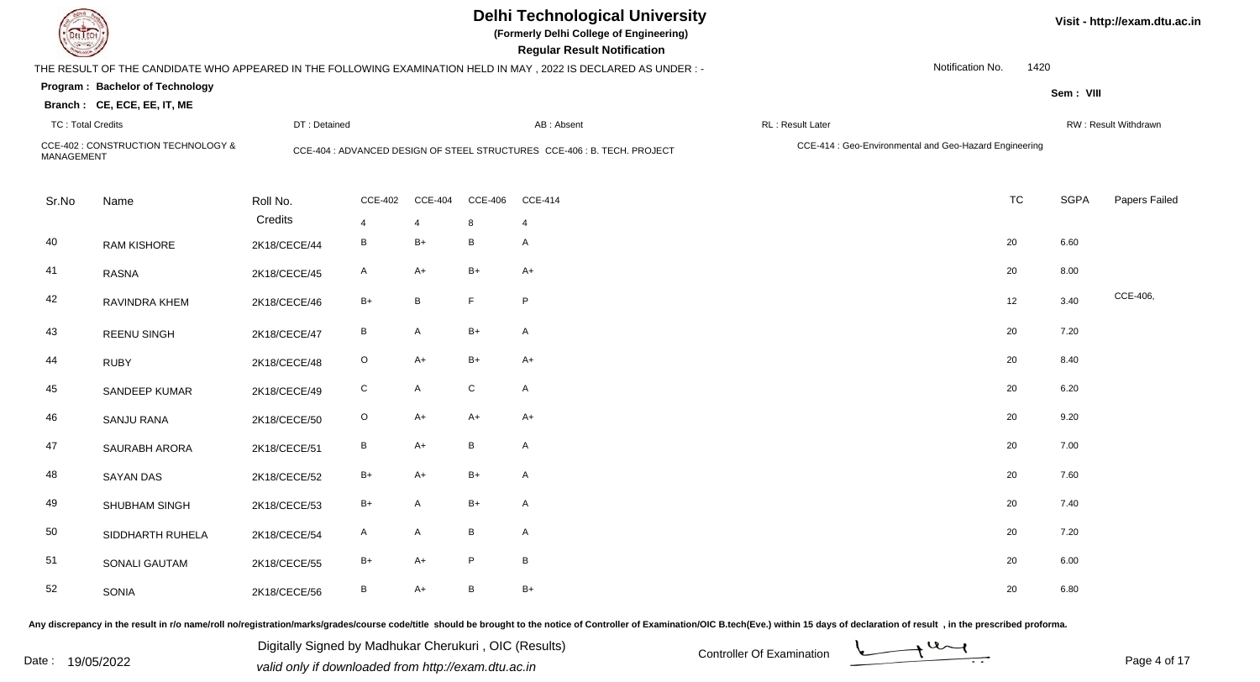|                          |                                                                |              |                |                 |                | <b>Delhi Technological University</b><br>(Formerly Delhi College of Engineering)<br><b>Regular Result Notification</b> |                                                        |                  | Visit - http://exam.dtu.ac.in |                      |  |  |  |
|--------------------------|----------------------------------------------------------------|--------------|----------------|-----------------|----------------|------------------------------------------------------------------------------------------------------------------------|--------------------------------------------------------|------------------|-------------------------------|----------------------|--|--|--|
|                          |                                                                |              |                |                 |                | THE RESULT OF THE CANDIDATE WHO APPEARED IN THE FOLLOWING EXAMINATION HELD IN MAY, 2022 IS DECLARED AS UNDER:-         |                                                        | Notification No. | 1420                          |                      |  |  |  |
|                          | Program: Bachelor of Technology<br>Branch: CE, ECE, EE, IT, ME |              |                |                 |                |                                                                                                                        |                                                        |                  | Sem: VIII                     |                      |  |  |  |
| <b>TC: Total Credits</b> |                                                                | DT: Detained |                |                 |                | AB: Absent                                                                                                             | RL: Result Later                                       |                  |                               | RW: Result Withdrawn |  |  |  |
| MANAGEMENT               | CCE-402 : CONSTRUCTION TECHNOLOGY &                            |              |                |                 |                | CCE-404 : ADVANCED DESIGN OF STEEL STRUCTURES CCE-406 : B. TECH. PROJECT                                               | CCE-414 : Geo-Environmental and Geo-Hazard Engineering |                  |                               |                      |  |  |  |
| Sr.No                    | Name                                                           | Roll No.     | <b>CCE-402</b> | <b>CCE-404</b>  | <b>CCE-406</b> | <b>CCE-414</b>                                                                                                         |                                                        | <b>TC</b>        | SGPA                          | Papers Failed        |  |  |  |
|                          |                                                                | Credits      | 4              | 4               | 8              | 4                                                                                                                      |                                                        |                  |                               |                      |  |  |  |
| 40                       | <b>RAM KISHORE</b>                                             | 2K18/CECE/44 | B              | $B+$            | B              | A                                                                                                                      |                                                        | 20               | 6.60                          |                      |  |  |  |
| 41                       | <b>RASNA</b>                                                   | 2K18/CECE/45 | A              | $A+$            | $B+$           | $A+$                                                                                                                   |                                                        | 20               | 8.00                          |                      |  |  |  |
| 42                       | RAVINDRA KHEM                                                  | 2K18/CECE/46 | $B+$           | $\, {\bf B} \,$ | $\mathsf F$    | P                                                                                                                      |                                                        | 12               | 3.40                          | CCE-406,             |  |  |  |
| 43                       | <b>REENU SINGH</b>                                             | 2K18/CECE/47 | B              | $\mathsf{A}$    | $B+$           | $\mathsf A$                                                                                                            |                                                        | 20               | 7.20                          |                      |  |  |  |
| 44                       | <b>RUBY</b>                                                    | 2K18/CECE/48 | $\mathsf O$    | $A+$            | $B+$           | $A+$                                                                                                                   |                                                        | 20               | 8.40                          |                      |  |  |  |
| 45                       | SANDEEP KUMAR                                                  | 2K18/CECE/49 | $\mathsf{C}$   | $\mathsf{A}$    | ${\rm C}$      | $\mathsf{A}$                                                                                                           |                                                        | 20               | 6.20                          |                      |  |  |  |
| 46                       | <b>SANJU RANA</b>                                              | 2K18/CECE/50 | $\circ$        | $A+$            | $A+$           | $A+$                                                                                                                   |                                                        | 20               | 9.20                          |                      |  |  |  |
| 47                       | SAURABH ARORA                                                  | 2K18/CECE/51 | В              | $A+$            | B              | $\mathsf{A}$                                                                                                           |                                                        | 20               | 7.00                          |                      |  |  |  |
| 48                       | <b>SAYAN DAS</b>                                               | 2K18/CECE/52 | $B+$           | $A+$            | $B+$           | $\mathsf{A}$                                                                                                           |                                                        | 20               | 7.60                          |                      |  |  |  |
| 49                       | SHUBHAM SINGH                                                  | 2K18/CECE/53 | B+             | $\mathsf{A}$    | $B+$           | $\mathsf{A}$                                                                                                           |                                                        | 20               | 7.40                          |                      |  |  |  |
| 50                       | SIDDHARTH RUHELA                                               | 2K18/CECE/54 | A              | $\mathsf{A}$    | B              | $\mathsf{A}$                                                                                                           |                                                        | 20               | 7.20                          |                      |  |  |  |
| 51                       | <b>SONALI GAUTAM</b>                                           | 2K18/CECE/55 | $B+$           | $A+$            | P              | $\, {\sf B}$                                                                                                           |                                                        | 20               | 6.00                          |                      |  |  |  |
| 52                       | <b>SONIA</b>                                                   | 2K18/CECE/56 | B              | $A+$            | B              | $B+$                                                                                                                   |                                                        | 20               | 6.80                          |                      |  |  |  |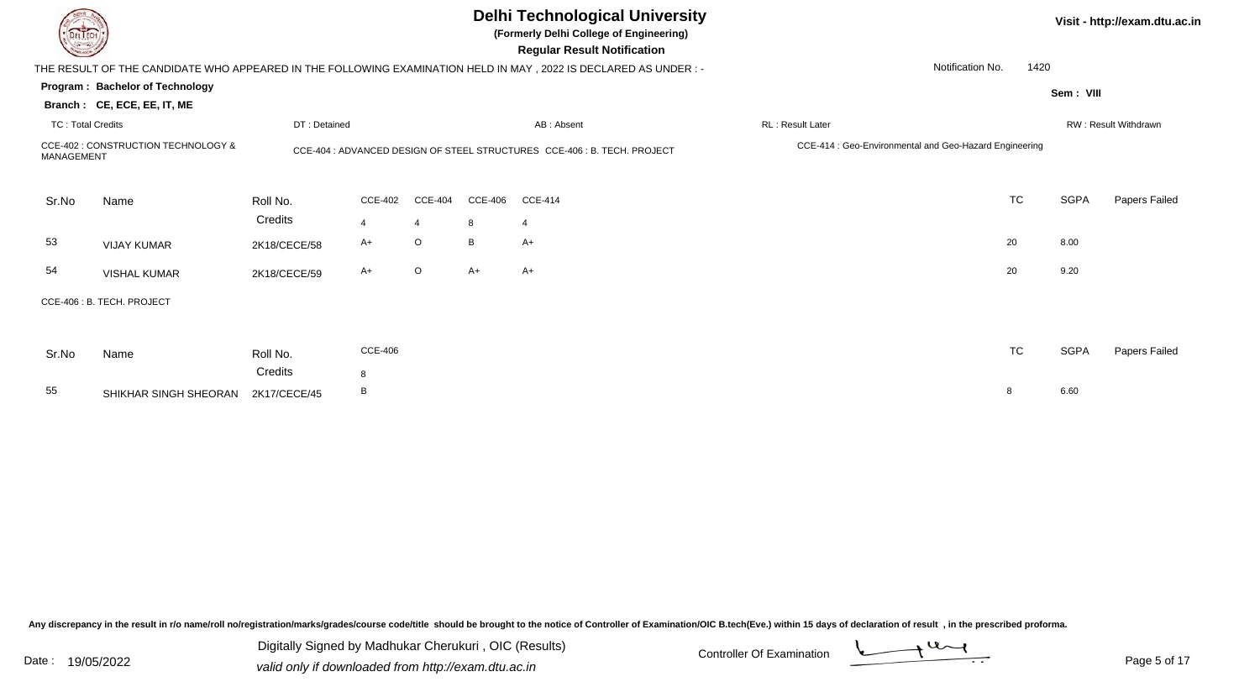|                          |                                     |              |                |                |                | <b>Delhi Technological University</b><br>(Formerly Delhi College of Engineering)<br><b>Regular Result Notification</b> |                                                        |           |             | Visit - http://exam.dtu.ac.in |
|--------------------------|-------------------------------------|--------------|----------------|----------------|----------------|------------------------------------------------------------------------------------------------------------------------|--------------------------------------------------------|-----------|-------------|-------------------------------|
|                          |                                     |              |                |                |                | THE RESULT OF THE CANDIDATE WHO APPEARED IN THE FOLLOWING EXAMINATION HELD IN MAY, 2022 IS DECLARED AS UNDER:-         | Notification No.                                       | 1420      |             |                               |
|                          | Program: Bachelor of Technology     |              |                |                |                |                                                                                                                        |                                                        |           | Sem: VIII   |                               |
|                          | Branch: CE, ECE, EE, IT, ME         |              |                |                |                |                                                                                                                        |                                                        |           |             |                               |
| <b>TC: Total Credits</b> |                                     | DT: Detained |                |                |                | AB: Absent                                                                                                             | <b>RL: Result Later</b>                                |           |             | RW: Result Withdrawn          |
| <b>MANAGEMENT</b>        | CCE-402 : CONSTRUCTION TECHNOLOGY & |              |                |                |                | CCE-404 : ADVANCED DESIGN OF STEEL STRUCTURES CCE-406 : B. TECH. PROJECT                                               | CCE-414 : Geo-Environmental and Geo-Hazard Engineering |           |             |                               |
| Sr.No                    | Name                                | Roll No.     | <b>CCE-402</b> | <b>CCE-404</b> | <b>CCE-406</b> | <b>CCE-414</b>                                                                                                         |                                                        | <b>TC</b> | <b>SGPA</b> | Papers Failed                 |
|                          |                                     | Credits      | $\overline{4}$ | $\overline{4}$ | 8              | $\overline{4}$                                                                                                         |                                                        |           |             |                               |
| 53                       | <b>VIJAY KUMAR</b>                  | 2K18/CECE/58 | $A+$           | O              | B              | A+                                                                                                                     |                                                        | 20        | 8.00        |                               |
| 54                       | <b>VISHAL KUMAR</b>                 | 2K18/CECE/59 | A+             | $\circ$        | $A+$           | $A+$                                                                                                                   |                                                        | 20        | 9.20        |                               |
|                          | CCE-406: B. TECH. PROJECT           |              |                |                |                |                                                                                                                        |                                                        |           |             |                               |
| Sr.No                    | Name                                | Roll No.     | <b>CCE-406</b> |                |                |                                                                                                                        |                                                        | <b>TC</b> | <b>SGPA</b> | Papers Failed                 |
|                          |                                     | Credits      | 8              |                |                |                                                                                                                        |                                                        |           |             |                               |
| 55                       | SHIKHAR SINGH SHEORAN               | 2K17/CECE/45 | B              |                |                |                                                                                                                        | 8                                                      |           | 6.60        |                               |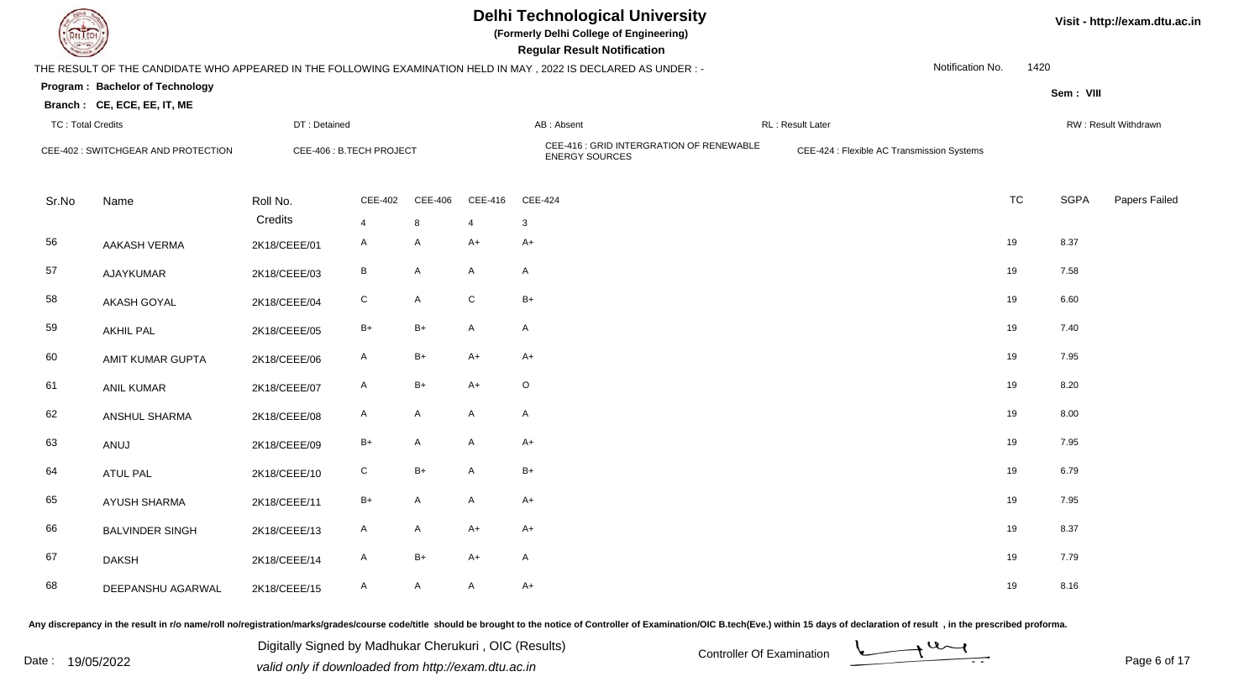

**(Formerly Delhi College of Engineering)**

**Regular Regular Results Notification** 

| <b>Country of Charles</b> |                                     |                          |                |         |                | <b>Regular Result Notification</b>                                                                              |                                            |                  |           |             |                      |
|---------------------------|-------------------------------------|--------------------------|----------------|---------|----------------|-----------------------------------------------------------------------------------------------------------------|--------------------------------------------|------------------|-----------|-------------|----------------------|
|                           |                                     |                          |                |         |                | THE RESULT OF THE CANDIDATE WHO APPEARED IN THE FOLLOWING EXAMINATION HELD IN MAY, 2022 IS DECLARED AS UNDER :- |                                            | Notification No. | 1420      |             |                      |
|                           | Program: Bachelor of Technology     |                          |                |         |                |                                                                                                                 |                                            |                  |           | Sem: VIII   |                      |
|                           | Branch: CE, ECE, EE, IT, ME         |                          |                |         |                |                                                                                                                 |                                            |                  |           |             |                      |
| <b>TC: Total Credits</b>  |                                     | DT: Detained             |                |         |                | AB: Absent                                                                                                      | RL: Result Later                           |                  |           |             | RW: Result Withdrawn |
|                           | CEE-402 : SWITCHGEAR AND PROTECTION | CEE-406 : B.TECH PROJECT |                |         |                | CEE-416 : GRID INTERGRATION OF RENEWABLE<br><b>ENERGY SOURCES</b>                                               | CEE-424 : Flexible AC Transmission Systems |                  |           |             |                      |
| Sr.No                     | Name                                | Roll No.                 | CEE-402        | CEE-406 | CEE-416        | CEE-424                                                                                                         |                                            |                  | <b>TC</b> | <b>SGPA</b> | Papers Failed        |
|                           |                                     | Credits                  | $\overline{4}$ | 8       | $\overline{4}$ | $\mathbf{3}$                                                                                                    |                                            |                  |           |             |                      |
| 56                        | <b>AAKASH VERMA</b>                 | 2K18/CEEE/01             | $\mathsf{A}$   | A       | $A+$           | $A+$                                                                                                            |                                            |                  | 19        | 8.37        |                      |
| 57                        | AJAYKUMAR                           | 2K18/CEEE/03             | B              | A       | A              | A                                                                                                               |                                            |                  | 19        | 7.58        |                      |
| 58                        | AKASH GOYAL                         | 2K18/CEEE/04             | ${\bf C}$      | A       | ${\bf C}$      | $B+$                                                                                                            |                                            |                  | 19        | 6.60        |                      |
| 59                        | <b>AKHIL PAL</b>                    | 2K18/CEEE/05             | $B+$           | $B+$    | $\mathsf{A}$   | $\mathsf{A}$                                                                                                    |                                            |                  | 19        | 7.40        |                      |
| 60                        | AMIT KUMAR GUPTA                    | 2K18/CEEE/06             | A              | B+      | $A+$           | A+                                                                                                              |                                            |                  | 19        | 7.95        |                      |
| 61                        | ANIL KUMAR                          | 2K18/CEEE/07             | A              | $B+$    | $A+$           | $\circ$                                                                                                         |                                            |                  | 19        | 8.20        |                      |
| 62                        | ANSHUL SHARMA                       | 2K18/CEEE/08             | $\mathsf{A}$   | A       | A              | $\mathsf{A}$                                                                                                    |                                            |                  | 19        | 8.00        |                      |
| 63                        | ANUJ                                | 2K18/CEEE/09             | $B+$           | A       | A              | $A+$                                                                                                            |                                            |                  | 19        | 7.95        |                      |
| 64                        | ATUL PAL                            | 2K18/CEEE/10             | C              | B+      | A              | $B+$                                                                                                            |                                            |                  | 19        | 6.79        |                      |
| 65                        | AYUSH SHARMA                        | 2K18/CEEE/11             | $B+$           | A       | A              | $A+$                                                                                                            |                                            |                  | 19        | 7.95        |                      |
| 66                        | <b>BALVINDER SINGH</b>              | 2K18/CEEE/13             | $\mathsf{A}$   | A       | $A+$           | $A+$                                                                                                            |                                            |                  | 19        | 8.37        |                      |
| 67                        | <b>DAKSH</b>                        | 2K18/CEEE/14             | A              | $B+$    | $A+$           | A                                                                                                               |                                            |                  | 19        | 7.79        |                      |
| 68                        | DEEPANSHU AGARWAL                   | 2K18/CEEE/15             | A              | A       | A              | $A+$                                                                                                            |                                            |                  | 19        | 8.16        |                      |

Any discrepancy in the result in r/o name/roll no/registration/marks/grades/course code/title should be brought to the notice of Controller of Examination/OIC B.tech(Eve.) within 15 days of declaration of result, in the pr

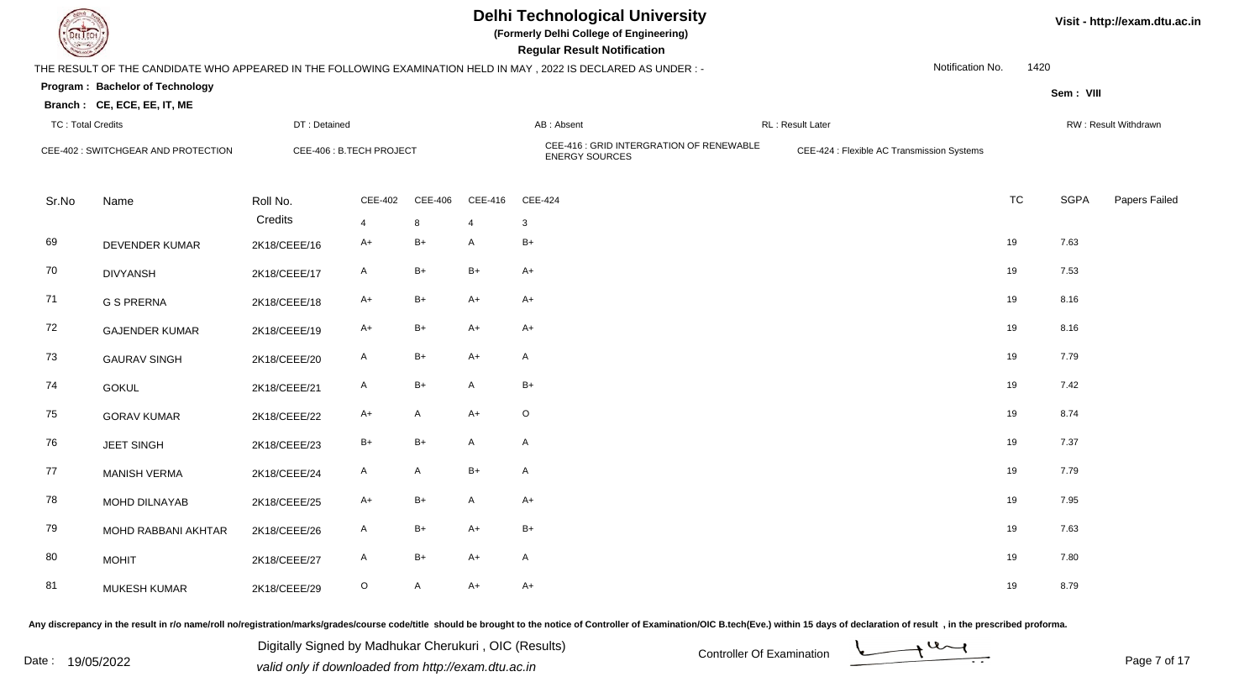

**(Formerly Delhi College of Engineering)**

**Regular Regular Results Notification** 

| <b>County of Several Property</b> |                                     |              |                          |         |                | <b>Regular Result Notification</b>                                                                              |                                            |                  |           |             |                      |
|-----------------------------------|-------------------------------------|--------------|--------------------------|---------|----------------|-----------------------------------------------------------------------------------------------------------------|--------------------------------------------|------------------|-----------|-------------|----------------------|
|                                   |                                     |              |                          |         |                | THE RESULT OF THE CANDIDATE WHO APPEARED IN THE FOLLOWING EXAMINATION HELD IN MAY, 2022 IS DECLARED AS UNDER :- |                                            | Notification No. | 1420      |             |                      |
|                                   | Program: Bachelor of Technology     |              |                          |         |                |                                                                                                                 |                                            |                  |           | Sem: VIII   |                      |
|                                   | Branch: CE, ECE, EE, IT, ME         |              |                          |         |                |                                                                                                                 |                                            |                  |           |             |                      |
| <b>TC: Total Credits</b>          |                                     | DT: Detained |                          |         |                | AB: Absent                                                                                                      | <b>RL</b> : Result Later                   |                  |           |             | RW: Result Withdrawn |
|                                   | CEE-402 : SWITCHGEAR AND PROTECTION |              | CEE-406 : B.TECH PROJECT |         |                | CEE-416 : GRID INTERGRATION OF RENEWABLE<br><b>ENERGY SOURCES</b>                                               | CEE-424 : Flexible AC Transmission Systems |                  |           |             |                      |
| Sr.No                             | Name                                | Roll No.     | CEE-402                  | CEE-406 | CEE-416        | CEE-424                                                                                                         |                                            |                  | <b>TC</b> | <b>SGPA</b> | Papers Failed        |
|                                   |                                     | Credits      | $\overline{4}$           | 8       | $\overline{4}$ | 3                                                                                                               |                                            |                  |           |             |                      |
| 69                                | <b>DEVENDER KUMAR</b>               | 2K18/CEEE/16 | $A+$                     | $B+$    | A              | $B+$                                                                                                            |                                            |                  | 19        | 7.63        |                      |
| 70                                | <b>DIVYANSH</b>                     | 2K18/CEEE/17 | A                        | $B+$    | $B+$           | A+                                                                                                              |                                            |                  | 19        | 7.53        |                      |
| 71                                | <b>G S PRERNA</b>                   | 2K18/CEEE/18 | A+                       | $B+$    | $A+$           | $A+$                                                                                                            |                                            |                  | 19        | 8.16        |                      |
| 72                                | <b>GAJENDER KUMAR</b>               | 2K18/CEEE/19 | $A+$                     | $B+$    | $A+$           | A+                                                                                                              |                                            |                  | 19        | 8.16        |                      |
| 73                                | <b>GAURAV SINGH</b>                 | 2K18/CEEE/20 | A                        | B+      | $A+$           | A                                                                                                               |                                            |                  | 19        | 7.79        |                      |
| 74                                | <b>GOKUL</b>                        | 2K18/CEEE/21 | A                        | B+      | A              | $B+$                                                                                                            |                                            |                  | 19        | 7.42        |                      |
| 75                                | <b>GORAV KUMAR</b>                  | 2K18/CEEE/22 | A+                       | A       | $A+$           | $\circ$                                                                                                         |                                            |                  | 19        | 8.74        |                      |
| 76                                | <b>JEET SINGH</b>                   | 2K18/CEEE/23 | $B+$                     | $B+$    | A              | $\mathsf{A}$                                                                                                    |                                            |                  | 19        | 7.37        |                      |
| 77                                | <b>MANISH VERMA</b>                 | 2K18/CEEE/24 | A                        | A       | $B+$           | $\mathsf{A}$                                                                                                    |                                            |                  | 19        | 7.79        |                      |
| 78                                | MOHD DILNAYAB                       | 2K18/CEEE/25 | $A+$                     | B+      | $\mathsf{A}$   | $A+$                                                                                                            |                                            |                  | 19        | 7.95        |                      |
| 79                                | MOHD RABBANI AKHTAR                 | 2K18/CEEE/26 | A                        | $B+$    | $A+$           | $B+$                                                                                                            |                                            |                  | 19        | 7.63        |                      |
| 80                                | <b>MOHIT</b>                        | 2K18/CEEE/27 | A                        | $B+$    | $A+$           | $\mathsf{A}$                                                                                                    |                                            |                  | 19        | 7.80        |                      |
| 81                                | <b>MUKESH KUMAR</b>                 | 2K18/CEEE/29 | O                        | A       | $A+$           | A+                                                                                                              |                                            |                  | 19        | 8.79        |                      |

Any discrepancy in the result in r/o name/roll no/registration/marks/grades/course code/title should be brought to the notice of Controller of Examination/OIC B.tech(Eve.) within 15 days of declaration of result, in the pr

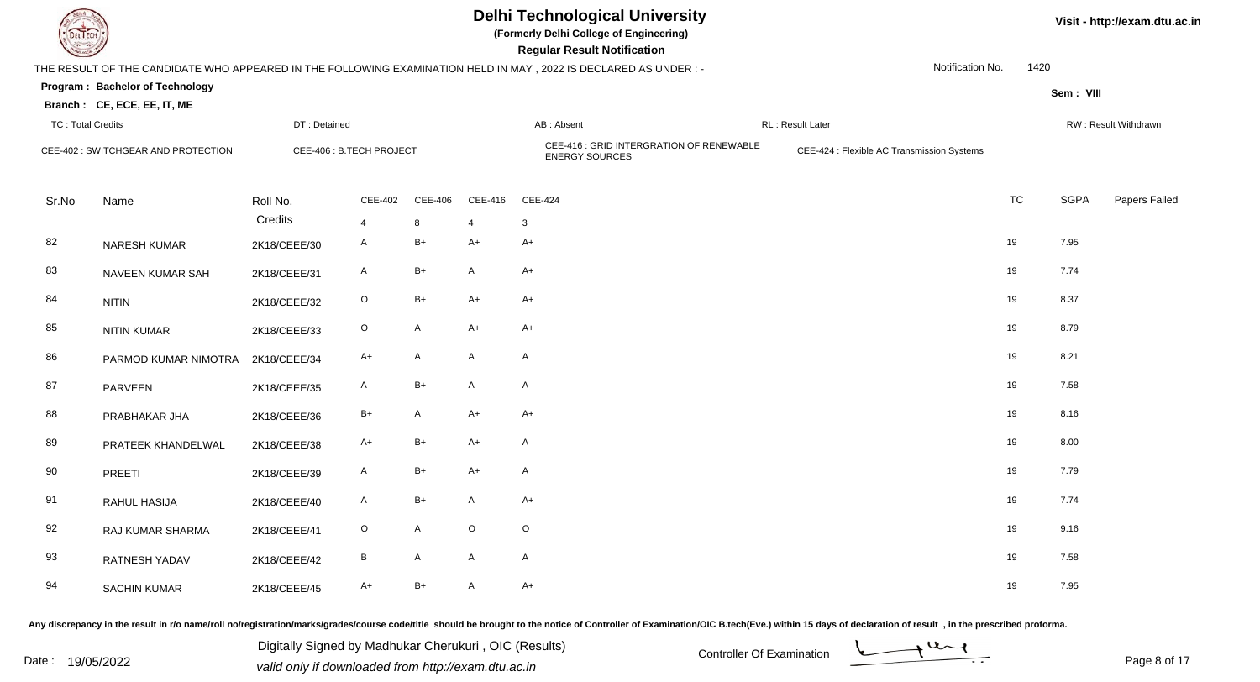

**(Formerly Delhi College of Engineering)**

**Regular Regular Results Notification** 

| <b>Country</b>           |                                     |                          |                 |         |                | <b>Regular Result Notification</b>                                                                              |                                            |                  |           |             |                      |
|--------------------------|-------------------------------------|--------------------------|-----------------|---------|----------------|-----------------------------------------------------------------------------------------------------------------|--------------------------------------------|------------------|-----------|-------------|----------------------|
|                          |                                     |                          |                 |         |                | THE RESULT OF THE CANDIDATE WHO APPEARED IN THE FOLLOWING EXAMINATION HELD IN MAY, 2022 IS DECLARED AS UNDER :- |                                            | Notification No. | 1420      |             |                      |
|                          | Program: Bachelor of Technology     |                          |                 |         |                |                                                                                                                 |                                            |                  |           | Sem: VIII   |                      |
|                          | Branch: CE, ECE, EE, IT, ME         |                          |                 |         |                |                                                                                                                 |                                            |                  |           |             |                      |
| <b>TC: Total Credits</b> |                                     | DT: Detained             |                 |         |                | AB: Absent                                                                                                      | <b>RL</b> : Result Later                   |                  |           |             | RW: Result Withdrawn |
|                          | CEE-402 : SWITCHGEAR AND PROTECTION | CEE-406 : B.TECH PROJECT |                 |         |                | CEE-416 : GRID INTERGRATION OF RENEWABLE<br><b>ENERGY SOURCES</b>                                               | CEE-424 : Flexible AC Transmission Systems |                  |           |             |                      |
| Sr.No                    | Name                                | Roll No.                 | CEE-402         | CEE-406 | CEE-416        | CEE-424                                                                                                         |                                            |                  | <b>TC</b> | <b>SGPA</b> | Papers Failed        |
|                          |                                     | Credits                  | $\overline{4}$  | 8       | $\overline{4}$ | 3                                                                                                               |                                            |                  |           |             |                      |
| 82                       | NARESH KUMAR                        | 2K18/CEEE/30             | $\mathsf{A}$    | $B+$    | $A+$           | $A+$                                                                                                            |                                            |                  | 19        | 7.95        |                      |
| 83                       | NAVEEN KUMAR SAH                    | 2K18/CEEE/31             | A               | $B+$    | A              | $A+$                                                                                                            |                                            |                  | 19        | 7.74        |                      |
| 84                       | <b>NITIN</b>                        | 2K18/CEEE/32             | $\circ$         | $B+$    | $A+$           | $A+$                                                                                                            |                                            |                  | 19        | 8.37        |                      |
| 85                       | <b>NITIN KUMAR</b>                  | 2K18/CEEE/33             | $\circ$         | A       | $A+$           | A+                                                                                                              |                                            |                  | 19        | 8.79        |                      |
| 86                       | PARMOD KUMAR NIMOTRA                | 2K18/CEEE/34             | A+              | A       | A              | $\mathsf{A}$                                                                                                    |                                            |                  | 19        | 8.21        |                      |
| 87                       | PARVEEN                             | 2K18/CEEE/35             | A               | B+      | A              | A                                                                                                               |                                            |                  | 19        | 7.58        |                      |
| 88                       | PRABHAKAR JHA                       | 2K18/CEEE/36             | $B+$            | A       | $A+$           | $A+$                                                                                                            |                                            |                  | 19        | 8.16        |                      |
| 89                       | PRATEEK KHANDELWAL                  | 2K18/CEEE/38             | $A+$            | B+      | $A+$           | $\mathsf{A}$                                                                                                    |                                            |                  | 19        | 8.00        |                      |
| 90                       | PREETI                              | 2K18/CEEE/39             | A               | $B+$    | $A+$           | $\mathsf{A}$                                                                                                    |                                            |                  | 19        | 7.79        |                      |
| 91                       | <b>RAHUL HASIJA</b>                 | 2K18/CEEE/40             | $\mathsf{A}$    | $B+$    | $\mathsf{A}$   | $A+$                                                                                                            |                                            |                  | 19        | 7.74        |                      |
| 92                       | RAJ KUMAR SHARMA                    | 2K18/CEEE/41             | $\circ$         | A       | $\mathsf O$    | $\circ$                                                                                                         |                                            |                  | 19        | 9.16        |                      |
| 93                       | RATNESH YADAV                       | 2K18/CEEE/42             | $\, {\bf B} \,$ | A       | A              | $\mathsf{A}$                                                                                                    |                                            |                  | 19        | 7.58        |                      |
| 94                       | <b>SACHIN KUMAR</b>                 | 2K18/CEEE/45             | $A+$            | B+      | A              | $A+$                                                                                                            |                                            |                  | 19        | 7.95        |                      |

Any discrepancy in the result in r/o name/roll no/registration/marks/grades/course code/title should be brought to the notice of Controller of Examination/OIC B.tech(Eve.) within 15 days of declaration of result, in the pr

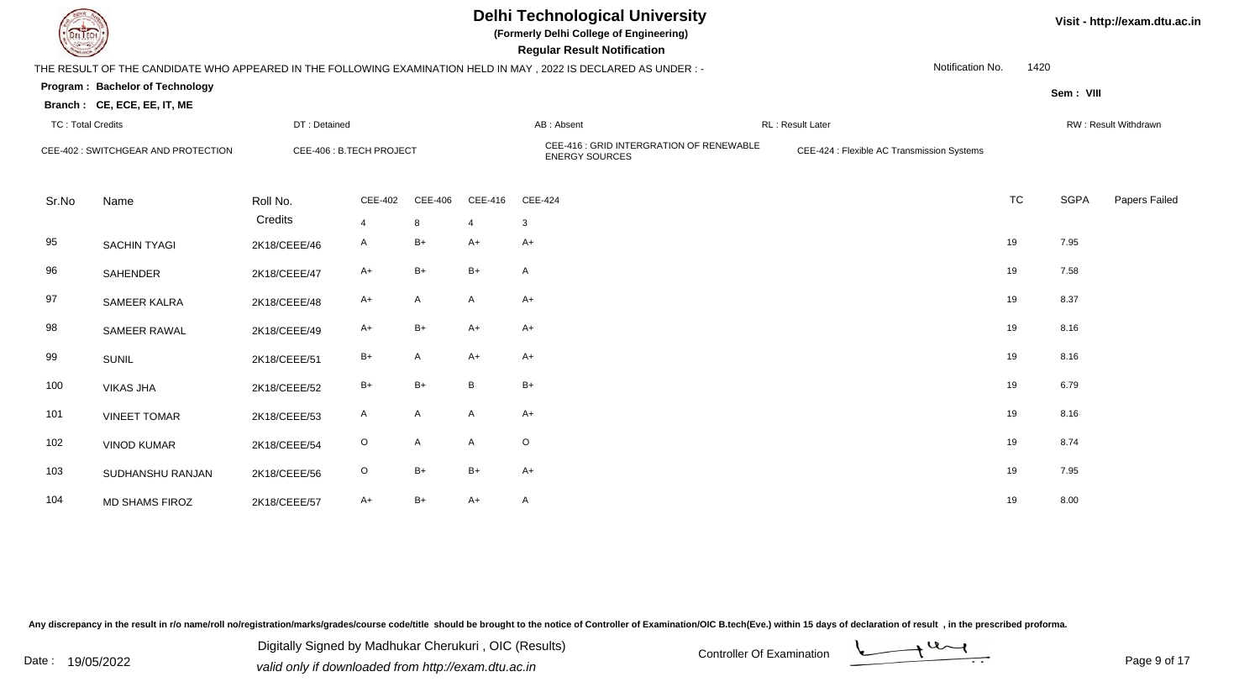

**(Formerly Delhi College of Engineering)**

| <b>Consultant Property</b> |                                     |                          |                |         |                | <b>Regular Result Notification</b>                                                                              |                                            |                  |           |             |                      |
|----------------------------|-------------------------------------|--------------------------|----------------|---------|----------------|-----------------------------------------------------------------------------------------------------------------|--------------------------------------------|------------------|-----------|-------------|----------------------|
|                            |                                     |                          |                |         |                | THE RESULT OF THE CANDIDATE WHO APPEARED IN THE FOLLOWING EXAMINATION HELD IN MAY, 2022 IS DECLARED AS UNDER :- |                                            | Notification No. | 1420      |             |                      |
|                            | Program: Bachelor of Technology     |                          |                |         |                |                                                                                                                 |                                            |                  |           | Sem: VIII   |                      |
|                            | Branch: CE, ECE, EE, IT, ME         |                          |                |         |                |                                                                                                                 |                                            |                  |           |             |                      |
| <b>TC: Total Credits</b>   |                                     | DT: Detained             |                |         |                | AB: Absent                                                                                                      | RL: Result Later                           |                  |           |             | RW: Result Withdrawn |
|                            | CEE-402 : SWITCHGEAR AND PROTECTION | CEE-406 : B.TECH PROJECT |                |         |                | CEE-416 : GRID INTERGRATION OF RENEWABLE<br><b>ENERGY SOURCES</b>                                               | CEE-424 : Flexible AC Transmission Systems |                  |           |             |                      |
| Sr.No                      | Name                                | Roll No.                 | CEE-402        | CEE-406 | CEE-416        | CEE-424                                                                                                         |                                            |                  | <b>TC</b> | <b>SGPA</b> | Papers Failed        |
|                            |                                     | Credits                  | $\overline{4}$ | 8       | $\overline{4}$ | 3                                                                                                               |                                            |                  |           |             |                      |
| 95                         | <b>SACHIN TYAGI</b>                 | 2K18/CEEE/46             | A              | B+      | $A+$           | A+                                                                                                              |                                            | 19               |           | 7.95        |                      |
| 96                         | <b>SAHENDER</b>                     | 2K18/CEEE/47             | A+             | B+      | $B+$           | A                                                                                                               |                                            | 19               |           | 7.58        |                      |
| 97                         | SAMEER KALRA                        | 2K18/CEEE/48             | A+             | A       | A              | $A+$                                                                                                            |                                            | 19               |           | 8.37        |                      |
| 98                         | SAMEER RAWAL                        | 2K18/CEEE/49             | $A+$           | B+      | $A+$           | $A+$                                                                                                            |                                            | 19               |           | 8.16        |                      |
| 99                         | <b>SUNIL</b>                        | 2K18/CEEE/51             | $B+$           | A       | $A+$           | A+                                                                                                              |                                            | 19               |           | 8.16        |                      |
| 100                        | <b>VIKAS JHA</b>                    | 2K18/CEEE/52             | $B+$           | $B+$    | B              | $B+$                                                                                                            |                                            | 19               |           | 6.79        |                      |
| 101                        | <b>VINEET TOMAR</b>                 | 2K18/CEEE/53             | A              | A       | $\mathsf{A}$   | $A+$                                                                                                            |                                            | 19               |           | 8.16        |                      |
| 102                        | <b>VINOD KUMAR</b>                  | 2K18/CEEE/54             | $\circ$        | A       | A              | $\circ$                                                                                                         |                                            | 19               |           | 8.74        |                      |
| 103                        | SUDHANSHU RANJAN                    | 2K18/CEEE/56             | $\circ$        | B+      | B+             | $A+$                                                                                                            |                                            | 19               |           | 7.95        |                      |
| 104                        | <b>MD SHAMS FIROZ</b>               | 2K18/CEEE/57             | $A+$           | $B+$    | $A+$           | A                                                                                                               |                                            | 19               |           | 8.00        |                      |

Any discrepancy in the result in r/o name/roll no/registration/marks/grades/course code/title should be brought to the notice of Controller of Examination/OIC B.tech(Eve.) within 15 days of declaration of result, in the pr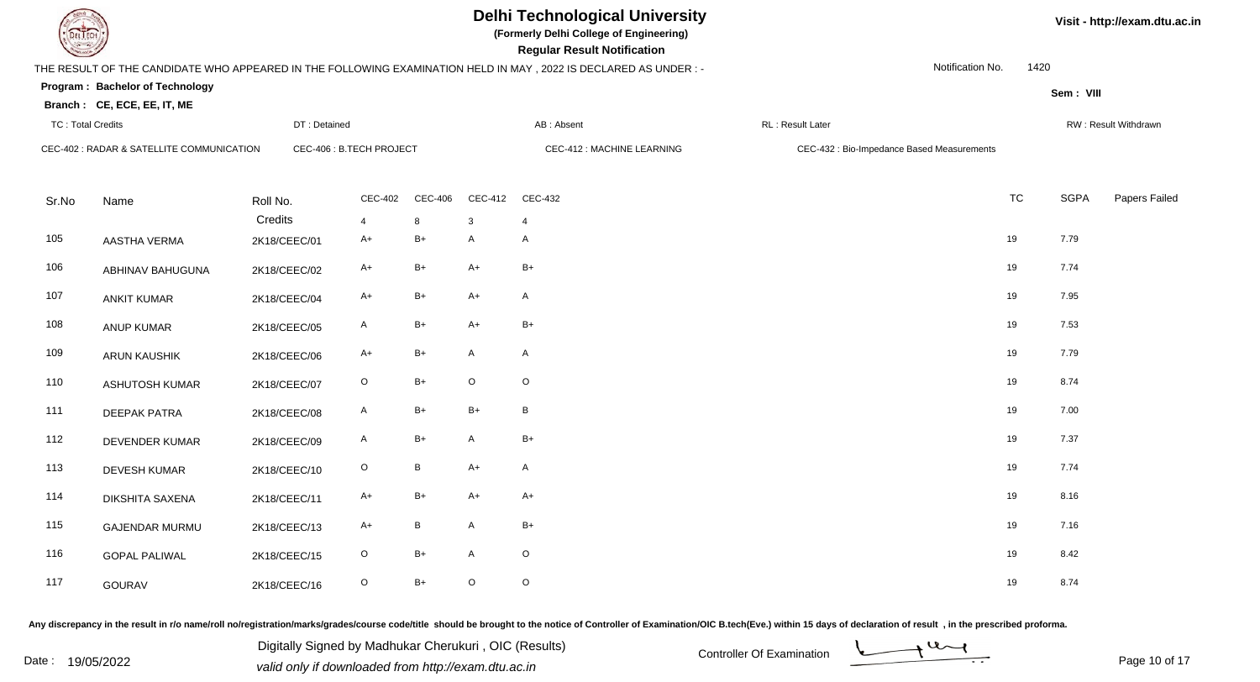**(Formerly Delhi College of Engineering)**

 **Regular Result Notification**

**Program : Bachelor of TechnologySem : VIII Branch : CE, ECE, EE, IT, ME**THE RESULT OF THE CANDIDATE WHO APPEARED IN THE FOLLOWING EXAMINATION HELD IN MAY , 2022 IS DECLARED AS UNDER : -TC : Total Credits DT : Detainedd AB : Absent RL : Result Later RW : Result Withdrawn Notification No. 1420Sr.Noo Name Roll No. **Credits** CEC-402 : RADAR & SATELLITE COMMUNICATIONCEC-406 : B.TECH PROJECT CEC-412 : MACHINE LEARNING CEC-432 : Bio-Impedance Based Measurements CEC-4022 CEC-406 CEC-412 CEC-432 **TC** TC SGPA Papers Failed 4 <sup>8</sup> <sup>3</sup> <sup>4</sup> 105 AASTHA VERMA 2K18/CEEC/01 A+ B+ <sup>A</sup> <sup>A</sup> <sup>19</sup> 7.79 106 ABHINAV BAHUGUNAA 2K18/CEEC/02 A+ B+ A+ B+ +  $\rightarrow$  7.74 107 ANKIT KUMAR 2K18/CEEC/04 A+ B+ A+ <sup>A</sup> <sup>19</sup> 7.95 108 ANUP KUMARR 2K18/CEEC/05 A B+ A+ B+ 19 7.53 109 ARUN KAUSHIKK 2K18/CEEC/06 A+ B+ A A 2 2K18/CEEC/06 A+ B+ A A 110 ASHUTOSH KUMARR 2K18/CEEC/07 O B+ O O 111 DEEPAK PATRAA 2K18/CEEC/08 A B+ B+ B 2K18/CEEC/08 A B+ B+ B 112 DEVENDER KUMARR 2K18/CEEC/09 A B+ A B+ 19 7.37 113 DEVESH KUMARR 2K18/CEEC/10 O B A+ A 19 7.74 114 DIKSHITA SAXENAA 2K18/CEEC/11 A+ B+ A+ A+ A+ 19 8.16 115 GAJENDAR MURMUU 2K18/CEEC/13 A+ B A B+ 19 7.16 116 GOPAL PALIWALL 2K18/CEEC/15 O B+ A O 19 8.42 117 GOURAVV 2K18/CEEC/16 O B+ O O 19 8.74

Any discrepancy in the result in r/o name/roll no/registration/marks/grades/course code/title should be brought to the notice of Controller of Examination/OIC B.tech(Eve.) within 15 days of declaration of result , in the p

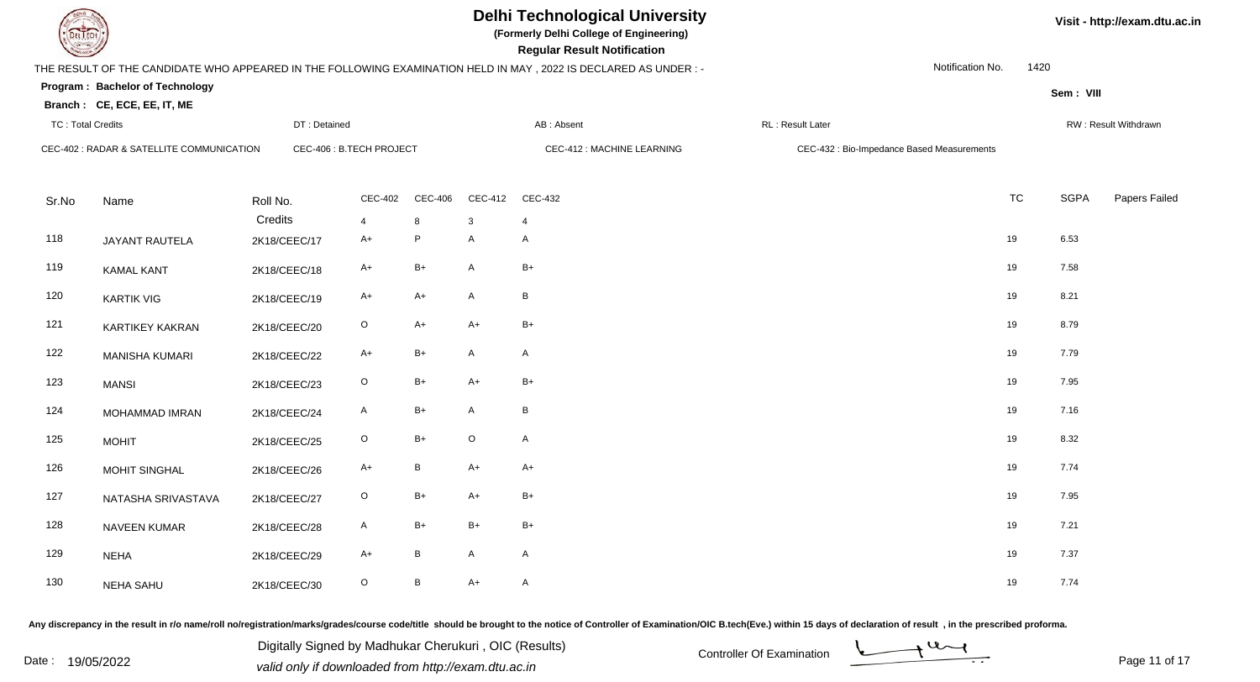**(Formerly Delhi College of Engineering)**

 **Regular Result Notification**

**Program : Bachelor of TechnologySem : VIII Branch : CE, ECE, EE, IT, ME**THE RESULT OF THE CANDIDATE WHO APPEARED IN THE FOLLOWING EXAMINATION HELD IN MAY , 2022 IS DECLARED AS UNDER : -TC : Total Credits DT : Detainedd AB : Absent RL : Result Later RW : Result Withdrawn Notification No. 1420Sr.NoName Roll No. **Credits** CEC-402 : RADAR & SATELLITE COMMUNICATIONCEC-406 : B.TECH PROJECT CEC-412 : MACHINE LEARNING CEC-432 : Bio-Impedance Based Measurements CEC-4022 CEC-406 CEC-412 CEC-432 **TC** TC SGPA Papers Failed 4 <sup>8</sup> <sup>3</sup> <sup>4</sup> 118 JAYANT RAUTELAA 2K18/CEEC/17 A+ P A A 119 KAMAL KANTT 2K18/CEEC/18 A+ B+ A B+ 19 7.58 120 KARTIK VIGG 2K18/CEEC/19 A+ A+ A B 19 8.21 121 KARTIKEY KAKRANN 2K18/CEEC/20 O A+ A+ B+ 19 8.79 122MANISHA KUMARI 2K18/CEEC/22 A+ B+ <sup>A</sup> <sup>A</sup> <sup>19</sup> 7.79 123MANSI 2K18/CEEC/23 3 O B+ A+ B+ 19 7.95 124 MOHAMMAD IMRAN 2K18/CEEC/24 <sup>A</sup> B+ <sup>A</sup> <sup>B</sup> <sup>19</sup> 7.16 125 MOHITT 2K18/CEEC/25 O B+ O A 19 8.32 126 MOHIT SINGHALL 2K18/CEEC/26 A+ B A+ A+ <sup>A+</sup> 2 and a control and a control and a control and a control and a control and a control and a control and a control and a control and a control and a control and a control and a control and a c 127 NATASHA SRIVASTAVAA 2K18/CEEC/27 O B+ A+ B+ 19 7.95 128 NAVEEN KUMARR 2K18/CEEC/28 A B+ B+ B+ B+ 19 7.21 129 NEHA 2K18/CEEC/29 A+ <sup>B</sup> <sup>A</sup> <sup>A</sup> <sup>19</sup> 7.37 130 NEHA SAHUU 2K18/CEEC/30 O B A+ A 19 7.74

Any discrepancy in the result in r/o name/roll no/registration/marks/grades/course code/title should be brought to the notice of Controller of Examination/OIC B.tech(Eve.) within 15 days of declaration of result , in the p

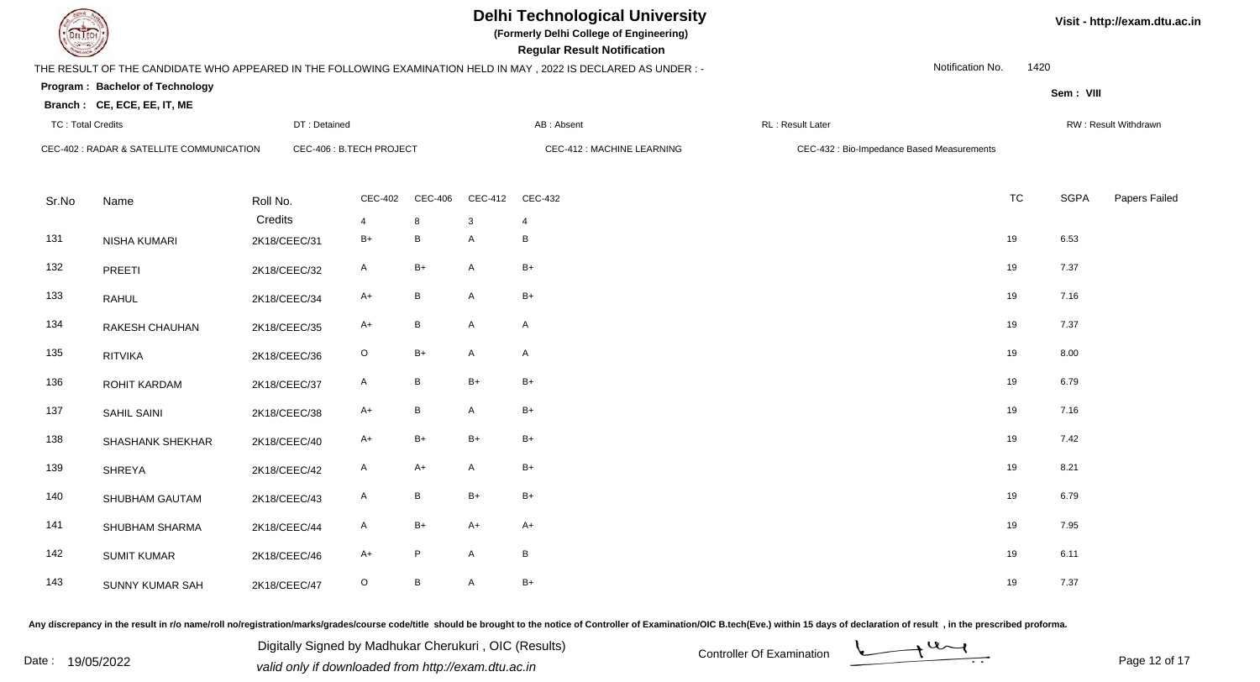**(Formerly Delhi College of Engineering)**

 **Regular Result Notification**

**Program : Bachelor of TechnologySem : VIII Branch : CE, ECE, EE, IT, ME**THE RESULT OF THE CANDIDATE WHO APPEARED IN THE FOLLOWING EXAMINATION HELD IN MAY , 2022 IS DECLARED AS UNDER : -TC : Total Credits DT : Detainedd AB : Absent RL : Result Later RW : Result Withdrawn Notification No. 1420Sr.NoName Roll No. **Credits** CEC-402 : RADAR & SATELLITE COMMUNICATIONCEC-406 : B.TECH PROJECT CEC-412 : MACHINE LEARNING CEC-432 : Bio-Impedance Based Measurements CEC-4022 CEC-406 CEC-412 CEC-432 **TC** TC SGPA Papers Failed 4 <sup>8</sup> <sup>3</sup> <sup>4</sup> 131 NISHA KUMARI 2K18/CEEC/31 $B_+$  B A B 19 6.53 132 PREETI 2K18/CEEC/322 A B+ A B+ 19 7.37 133 RAHULL 2K18/CEEC/34 A+ B A B+ 19 7.16 134 RAKESH CHAUHANN 2K18/CEEC/35 A+ B A A 19 7.37 135 RITVIKAA 2K18/CEEC/36 O B+ A A 2 A 2 and 2 and 2 and 2 and 2 and 2 and 2 and 2 and 2 and 2 and 2 and 2 and 2 and 2 and 2 and 2 and 2 and 2 and 2 and 2 and 2 and 2 and 2 and 2 and 2 and 2 and 2 and 2 and 2 and 2 and 2 and 2 and 2 136 ROHIT KARDAMM 2K18/CEEC/37 A B B+ B+ 19 6.79 137SAHIL SAINI 2K18/CEEC/38 8 A+ B A B+ 19 7.16 138 SHASHANK SHEKHARR 2K18/CEEC/40 A+ B+ B+ B+ B+ <sup>B+</sup> 139 SHREYAA 2K18/CEEC/42 A A+ A B+ 19 8.21 140 SHUBHAM GAUTAMM 2K18/CEEC/43 A B B+ B+ 19 6.79 141 SHUBHAM SHARMAA 2K18/CEEC/44 A B+ A+ A+ A+ 19 7.95 142 SUMIT KUMARR 2K18/CEEC/46 A+ P A B 143 SUNNY KUMAR SAHH 2K18/CEEC/47 O B A B+ 19 7.37

Any discrepancy in the result in r/o name/roll no/registration/marks/grades/course code/title should be brought to the notice of Controller of Examination/OIC B.tech(Eve.) within 15 days of declaration of result , in the p

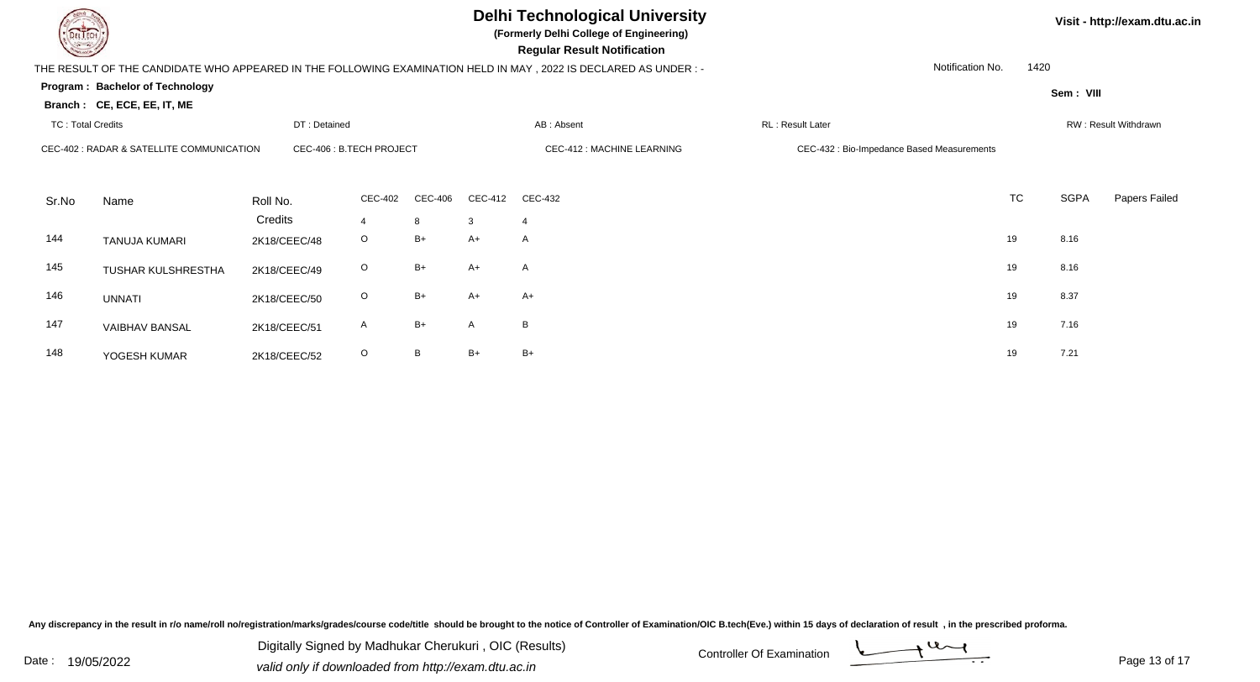**(Formerly Delhi College of Engineering)**

 **Regular Result Notification**

**Visit - http://exam.dtu.ac.in**

**Program : Bachelor of TechnologySem : VIII Branch : CE, ECE, EE, IT, ME**THE RESULT OF THE CANDIDATE WHO APPEARED IN THE FOLLOWING EXAMINATION HELD IN MAY , 2022 IS DECLARED AS UNDER : -TC : Total Credits DT : Detainedd AB : Absent RL : Result Later RW : Result Withdrawn Notification No. 1420Sr.NoName Roll No. **Credits** CEC-402 : RADAR & SATELLITE COMMUNICATIONCEC-406 : B.TECH PROJECT CEC-412 : MACHINE LEARNING CEC-432 : Bio-Impedance Based Measurements CEC-4022 CEC-406 CEC-412 CEC-432 **TC** TC SGPA Papers Failed 4 <sup>8</sup> <sup>3</sup> <sup>4</sup> 144TANUJA KUMARI 2K18/CEEC/48 <sup>O</sup> B+ A+ <sup>A</sup> <sup>19</sup> 8.16 145 TUSHAR KULSHRESTHAA 2K18/CEEC/49 O B+ A+ A 19 8.16 146 UNNATI 2K18/CEEC/500 O B+ A+ A+ 19 8.37 147 VAIBHAV BANSALL 2K18/CEEC/51 A B+ A B 19 7.16 148 YOGESH KUMARR 2K18/CEEC/52 O B B+ B+ 19 7.21

Any discrepancy in the result in r/o name/roll no/registration/marks/grades/course code/title should be brought to the notice of Controller of Examination/OIC B.tech(Eve.) within 15 days of declaration of result , in the p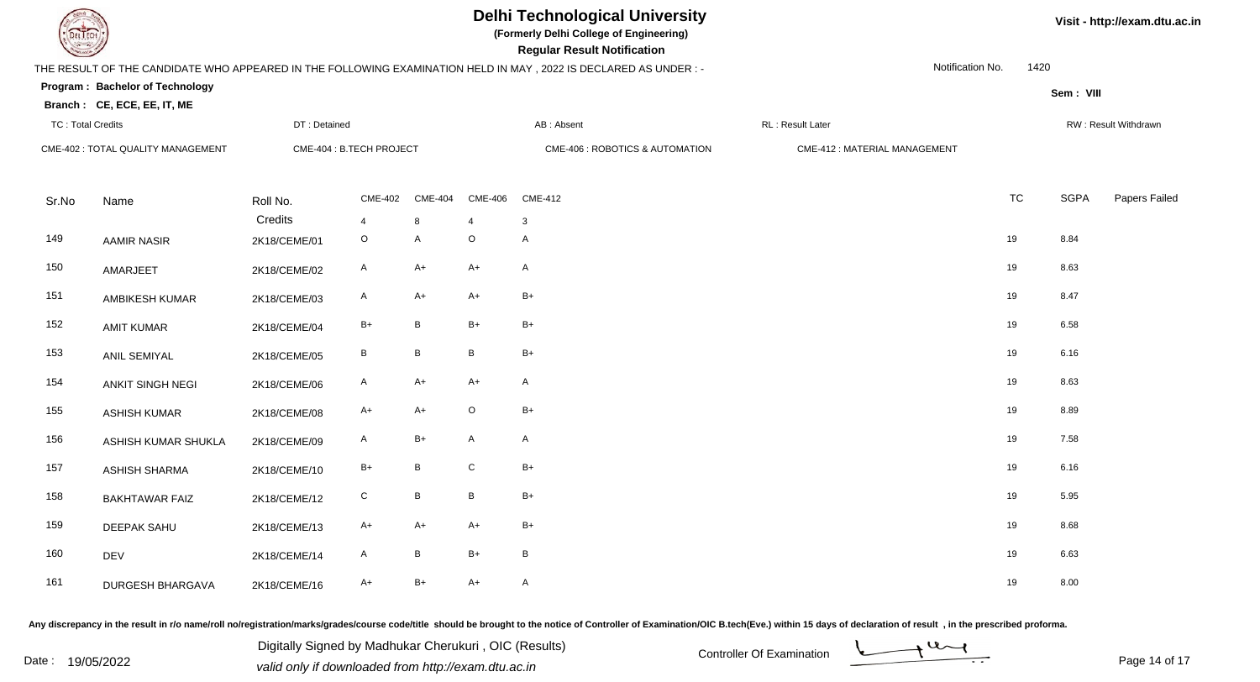

**(Formerly Delhi College of Engineering)**

 **Regular Result Notification**

| <b>Controller Comments</b> |                                    |              |                          |                |                 | Regular Result Notification                                                                                     |                              |                  |             |                      |
|----------------------------|------------------------------------|--------------|--------------------------|----------------|-----------------|-----------------------------------------------------------------------------------------------------------------|------------------------------|------------------|-------------|----------------------|
|                            |                                    |              |                          |                |                 | THE RESULT OF THE CANDIDATE WHO APPEARED IN THE FOLLOWING EXAMINATION HELD IN MAY, 2022 IS DECLARED AS UNDER :- |                              | Notification No. | 1420        |                      |
|                            | Program: Bachelor of Technology    |              |                          |                |                 |                                                                                                                 |                              |                  | Sem: VIII   |                      |
|                            | Branch: CE, ECE, EE, IT, ME        |              |                          |                |                 |                                                                                                                 |                              |                  |             |                      |
| <b>TC: Total Credits</b>   |                                    | DT: Detained |                          |                |                 | AB: Absent                                                                                                      | RL: Result Later             |                  |             | RW: Result Withdrawn |
|                            | CME-402 : TOTAL QUALITY MANAGEMENT |              | CME-404 : B.TECH PROJECT |                |                 | CME-406 : ROBOTICS & AUTOMATION                                                                                 | CME-412: MATERIAL MANAGEMENT |                  |             |                      |
|                            |                                    |              |                          |                |                 |                                                                                                                 |                              |                  |             |                      |
| Sr.No                      | Name                               | Roll No.     | <b>CME-402</b>           | <b>CME-404</b> | <b>CME-406</b>  | <b>CME-412</b>                                                                                                  |                              | <b>TC</b>        | <b>SGPA</b> | Papers Failed        |
|                            |                                    | Credits      | $\overline{4}$           | 8              | $\overline{4}$  | 3                                                                                                               |                              |                  |             |                      |
| 149                        | <b>AAMIR NASIR</b>                 | 2K18/CEME/01 | $\mathsf O$              | A              | $\mathsf O$     | $\mathsf{A}$                                                                                                    |                              | 19               | 8.84        |                      |
| 150                        | AMARJEET                           | 2K18/CEME/02 | $\mathsf{A}$             | $A+$           | $A+$            | $\mathsf{A}$                                                                                                    |                              | 19               | 8.63        |                      |
| 151                        | <b>AMBIKESH KUMAR</b>              | 2K18/CEME/03 | A                        | A+             | $A+$            | $B+$                                                                                                            |                              | 19               | 8.47        |                      |
| 152                        | <b>AMIT KUMAR</b>                  | 2K18/CEME/04 | $B+$                     | B              | $B+$            | $B+$                                                                                                            |                              | 19               | 6.58        |                      |
| 153                        | ANIL SEMIYAL                       | 2K18/CEME/05 | $\, {\sf B}$             | $\, {\bf B}$   | $\, {\bf B} \,$ | $B+$                                                                                                            |                              | 19               | 6.16        |                      |
| 154                        | ANKIT SINGH NEGI                   | 2K18/CEME/06 | $\mathsf{A}$             | $A+$           | $A+$            | $\mathsf{A}$                                                                                                    |                              | 19               | 8.63        |                      |
| 155                        | <b>ASHISH KUMAR</b>                | 2K18/CEME/08 | $A+$                     | $A+$           | $\mathsf O$     | $B+$                                                                                                            |                              | 19               | 8.89        |                      |
| 156                        | ASHISH KUMAR SHUKLA                | 2K18/CEME/09 | A                        | $B+$           | $\mathsf{A}$    | $\mathsf{A}$                                                                                                    |                              | 19               | 7.58        |                      |
| 157                        | <b>ASHISH SHARMA</b>               | 2K18/CEME/10 | $B+$                     | B              | ${\bf C}$       | $B+$                                                                                                            |                              | 19               | 6.16        |                      |
| 158                        | <b>BAKHTAWAR FAIZ</b>              | 2K18/CEME/12 | ${\rm C}$                | B              | $\, {\bf B} \,$ | $B+$                                                                                                            |                              | 19               | 5.95        |                      |
| 159                        | <b>DEEPAK SAHU</b>                 | 2K18/CEME/13 | $A+$                     | $A+$           | $A+$            | $B+$                                                                                                            |                              | 19               | 8.68        |                      |
| 160                        | DEV                                | 2K18/CEME/14 | A                        | B              | $B+$            | $\, {\bf B}$                                                                                                    |                              | 19               | 6.63        |                      |
| 161                        | <b>DURGESH BHARGAVA</b>            | 2K18/CEME/16 | $A+$                     | $B+$           | $A+$            | $\mathsf{A}$                                                                                                    |                              | 19               | 8.00        |                      |

Any discrepancy in the result in r/o name/roll no/registration/marks/grades/course code/title should be brought to the notice of Controller of Examination/OIC B.tech(Eve.) within 15 days of declaration of result, in the pr

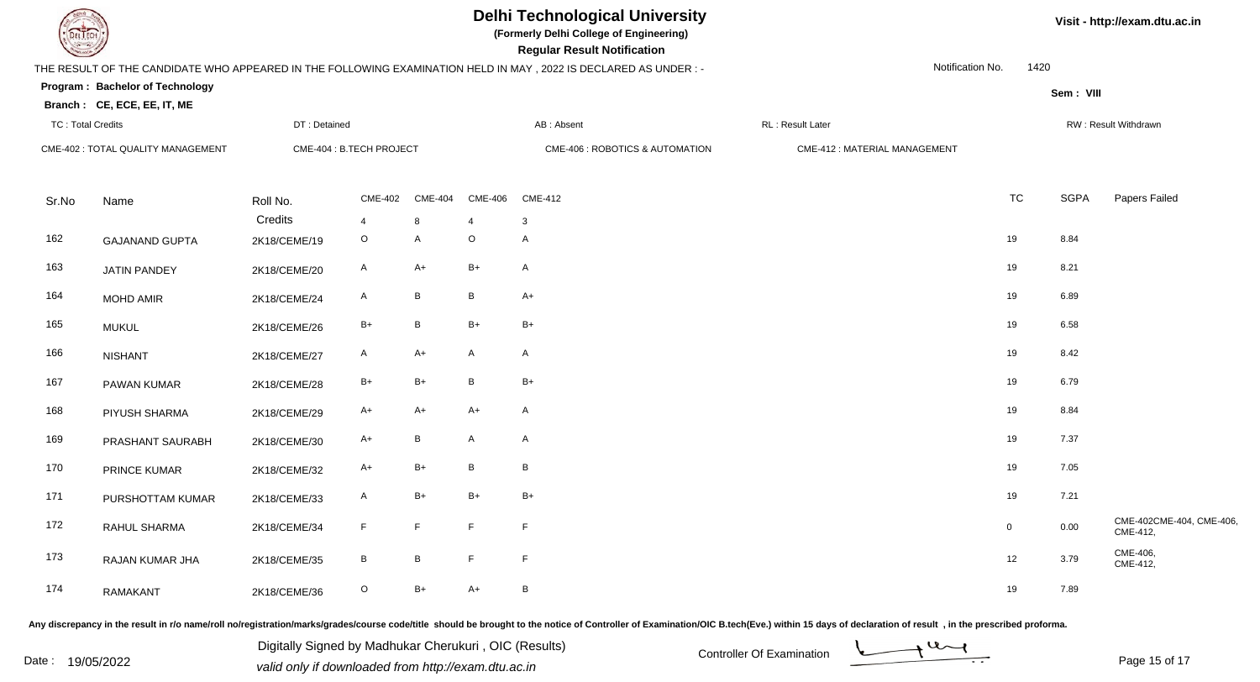

**(Formerly Delhi College of Engineering)**

| <b>Consultant Property</b> |                                    |              |                          |                |                           | <b>Regular Result Notification</b>                                                                              |                              |             |             |                                     |
|----------------------------|------------------------------------|--------------|--------------------------|----------------|---------------------------|-----------------------------------------------------------------------------------------------------------------|------------------------------|-------------|-------------|-------------------------------------|
|                            |                                    |              |                          |                |                           | THE RESULT OF THE CANDIDATE WHO APPEARED IN THE FOLLOWING EXAMINATION HELD IN MAY, 2022 IS DECLARED AS UNDER :- | Notification No.             | 1420        |             |                                     |
|                            | Program: Bachelor of Technology    |              |                          |                |                           |                                                                                                                 |                              |             | Sem: VIII   |                                     |
|                            | Branch: CE, ECE, EE, IT, ME        |              |                          |                |                           |                                                                                                                 |                              |             |             |                                     |
| <b>TC: Total Credits</b>   |                                    | DT: Detained |                          |                |                           | AB: Absent                                                                                                      | RL : Result Later            |             |             | RW: Result Withdrawn                |
|                            | CME-402 : TOTAL QUALITY MANAGEMENT |              | CME-404 : B.TECH PROJECT |                |                           | CME-406 : ROBOTICS & AUTOMATION                                                                                 | CME-412: MATERIAL MANAGEMENT |             |             |                                     |
|                            |                                    |              |                          |                |                           |                                                                                                                 |                              |             |             |                                     |
| Sr.No                      | Name                               | Roll No.     | <b>CME-402</b>           | <b>CME-404</b> | <b>CME-406</b>            | <b>CME-412</b>                                                                                                  |                              | <b>TC</b>   | <b>SGPA</b> | Papers Failed                       |
| 162                        |                                    | Credits      | $\overline{4}$           | 8              | $\overline{4}$<br>$\circ$ | $\mathbf{3}$<br>$\mathsf A$                                                                                     |                              | 19          | 8.84        |                                     |
|                            | <b>GAJANAND GUPTA</b>              | 2K18/CEME/19 | $\circ$                  | $\overline{A}$ |                           |                                                                                                                 |                              |             |             |                                     |
| 163                        | <b>JATIN PANDEY</b>                | 2K18/CEME/20 | $\mathsf{A}$             | A+             | $B+$                      | $\mathsf{A}$                                                                                                    |                              | 19          | 8.21        |                                     |
| 164                        | <b>MOHD AMIR</b>                   | 2K18/CEME/24 | $\mathsf{A}$             | $\, {\sf B}$   | В                         | $A+$                                                                                                            |                              | 19          | 6.89        |                                     |
| 165                        | <b>MUKUL</b>                       | 2K18/CEME/26 | $\mathsf{B}+$            | $\, {\sf B}$   | $B+$                      | $B+$                                                                                                            |                              | 19          | 6.58        |                                     |
| 166                        | <b>NISHANT</b>                     | 2K18/CEME/27 | $\mathsf{A}$             | $A+$           | A                         | $\mathsf{A}$                                                                                                    |                              | 19          | 8.42        |                                     |
| 167                        | PAWAN KUMAR                        | 2K18/CEME/28 | $\mathsf{B}+$            | $B+$           | B                         | $B+$                                                                                                            |                              | 19          | 6.79        |                                     |
| 168                        | PIYUSH SHARMA                      | 2K18/CEME/29 | $A+$                     | $A+$           | $A+$                      | $\mathsf{A}$                                                                                                    |                              | 19          | 8.84        |                                     |
| 169                        | PRASHANT SAURABH                   | 2K18/CEME/30 | $A+$                     | B              | A                         | $\mathsf{A}$                                                                                                    |                              | 19          | 7.37        |                                     |
| 170                        | PRINCE KUMAR                       | 2K18/CEME/32 | $A+$                     | $B+$           | B                         | $\, {\bf B}$                                                                                                    |                              | 19          | 7.05        |                                     |
| 171                        | PURSHOTTAM KUMAR                   | 2K18/CEME/33 | $\mathsf{A}$             | $B+$           | $B+$                      | $B+$                                                                                                            |                              | 19          | 7.21        |                                     |
| 172                        | RAHUL SHARMA                       | 2K18/CEME/34 | $\mathsf F$              | F              | $\mathsf F$               | $\mathsf F$                                                                                                     |                              | $\mathbf 0$ | 0.00        | CME-402CME-404, CME-406<br>CME-412, |
| 173                        | RAJAN KUMAR JHA                    | 2K18/CEME/35 | $\, {\bf B} \,$          | $\, {\sf B}$   | $\mathsf F$               | $\mathsf F$                                                                                                     |                              | 12          | 3.79        | CME-406,<br>CME-412,                |
| 174                        | <b>RAMAKANT</b>                    | 2K18/CEME/36 | $\circ$                  | B+             | $A+$                      | $\, {\bf B} \,$                                                                                                 |                              | 19          | 7.89        |                                     |

Any discrepancy in the result in r/o name/roll no/registration/marks/grades/course code/title should be brought to the notice of Controller of Examination/OIC B.tech(Eve.) within 15 days of declaration of result, in the pr

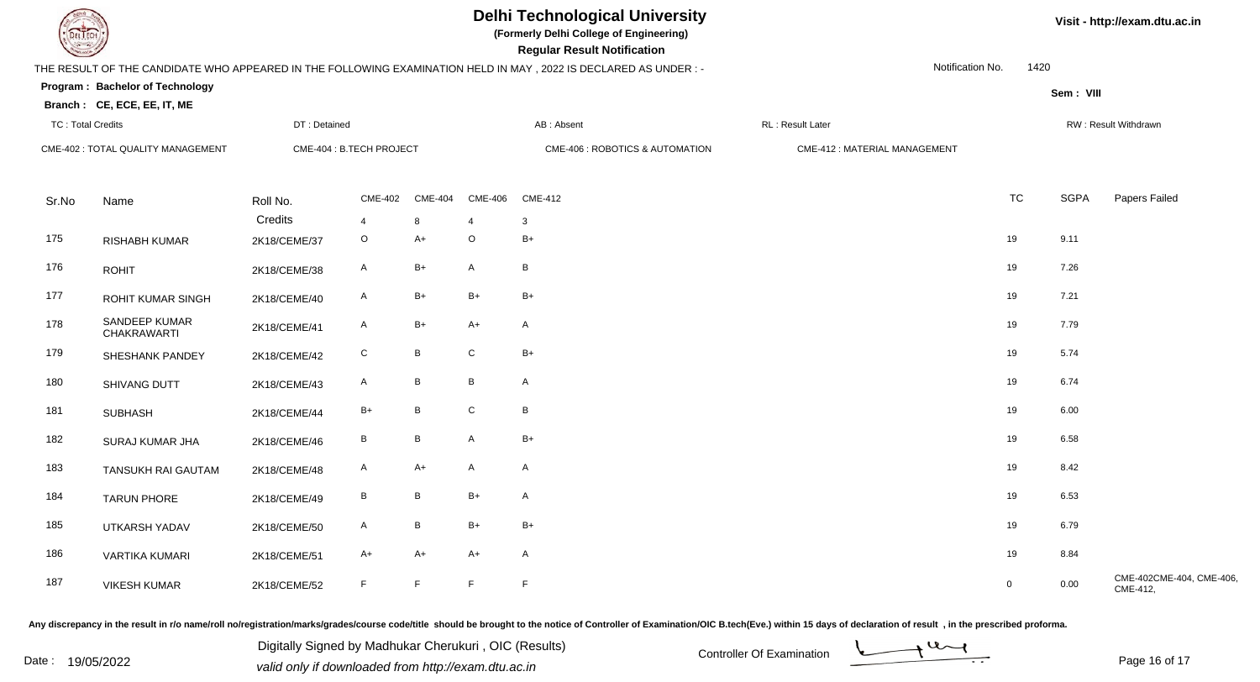

**(Formerly Delhi College of Engineering)**

| <b>Consult of Democratical Consultants</b> |                                    |              |                          |                |                | <b>Regular Result Notification</b>                                                                              |                              |             |             |                                     |
|--------------------------------------------|------------------------------------|--------------|--------------------------|----------------|----------------|-----------------------------------------------------------------------------------------------------------------|------------------------------|-------------|-------------|-------------------------------------|
|                                            |                                    |              |                          |                |                | THE RESULT OF THE CANDIDATE WHO APPEARED IN THE FOLLOWING EXAMINATION HELD IN MAY, 2022 IS DECLARED AS UNDER :- | Notification No.             | 1420        |             |                                     |
|                                            | Program: Bachelor of Technology    |              |                          |                |                |                                                                                                                 |                              |             | Sem: VIII   |                                     |
|                                            | Branch: CE, ECE, EE, IT, ME        |              |                          |                |                |                                                                                                                 |                              |             |             |                                     |
| <b>TC: Total Credits</b>                   |                                    | DT: Detained |                          |                |                | AB: Absent                                                                                                      | RL: Result Later             |             |             | RW: Result Withdrawn                |
|                                            | CME-402 : TOTAL QUALITY MANAGEMENT |              | CME-404 : B.TECH PROJECT |                |                | CME-406 : ROBOTICS & AUTOMATION                                                                                 | CME-412: MATERIAL MANAGEMENT |             |             |                                     |
|                                            |                                    |              |                          |                |                |                                                                                                                 |                              |             |             |                                     |
| Sr.No                                      | Name                               | Roll No.     | <b>CME-402</b>           | <b>CME-404</b> | <b>CME-406</b> | <b>CME-412</b>                                                                                                  |                              | <b>TC</b>   | <b>SGPA</b> | Papers Failed                       |
|                                            |                                    | Credits      | 4                        | 8              | $\overline{4}$ | $\mathbf{3}$                                                                                                    |                              |             |             |                                     |
| 175                                        | <b>RISHABH KUMAR</b>               | 2K18/CEME/37 | $\circ$                  | $A+$           | $\circ$        | $B+$                                                                                                            |                              | 19          | 9.11        |                                     |
| 176                                        | <b>ROHIT</b>                       | 2K18/CEME/38 | $\mathsf{A}$             | $B+$           | $\mathsf{A}$   | $\, {\bf B}$                                                                                                    |                              | 19          | 7.26        |                                     |
| 177                                        | <b>ROHIT KUMAR SINGH</b>           | 2K18/CEME/40 | $\mathsf{A}$             | $B+$           | $B+$           | $B+$                                                                                                            |                              | 19          | 7.21        |                                     |
| 178                                        | SANDEEP KUMAR<br>CHAKRAWARTI       | 2K18/CEME/41 | $\mathsf{A}$             | B+             | $A+$           | $\mathsf{A}$                                                                                                    |                              | 19          | 7.79        |                                     |
| 179                                        | SHESHANK PANDEY                    | 2K18/CEME/42 | ${\bf C}$                | B              | $\mathsf C$    | $B+$                                                                                                            |                              | 19          | 5.74        |                                     |
| 180                                        | SHIVANG DUTT                       | 2K18/CEME/43 | A                        | B              | B              | $\mathsf{A}$                                                                                                    |                              | 19          | 6.74        |                                     |
| 181                                        | <b>SUBHASH</b>                     | 2K18/CEME/44 | $B+$                     | B              | ${\bf C}$      | $\, {\bf B} \,$                                                                                                 |                              | 19          | 6.00        |                                     |
| 182                                        | SURAJ KUMAR JHA                    | 2K18/CEME/46 | $\, {\bf B} \,$          | $\sf B$        | A              | $B+$                                                                                                            |                              | 19          | 6.58        |                                     |
| 183                                        | <b>TANSUKH RAI GAUTAM</b>          | 2K18/CEME/48 | $\mathsf{A}$             | $A+$           | $\mathsf{A}$   | $\mathsf{A}$                                                                                                    |                              | 19          | 8.42        |                                     |
| 184                                        | <b>TARUN PHORE</b>                 | 2K18/CEME/49 | $\, {\sf B}$             | B              | $B+$           | $\mathsf{A}$                                                                                                    |                              | 19          | 6.53        |                                     |
| 185                                        | UTKARSH YADAV                      | 2K18/CEME/50 | $\mathsf{A}$             | B              | $B+$           | $B+$                                                                                                            |                              | 19          | 6.79        |                                     |
| 186                                        | <b>VARTIKA KUMARI</b>              | 2K18/CEME/51 | A+                       | A+             | $A+$           | $\mathsf{A}$                                                                                                    |                              | 19          | 8.84        |                                     |
| 187                                        | <b>VIKESH KUMAR</b>                | 2K18/CEME/52 | $\mathsf F$              | F              | F              | $\mathsf F$                                                                                                     |                              | $\mathbf 0$ | 0.00        | CME-402CME-404, CME-406<br>CME-412, |

Any discrepancy in the result in r/o name/roll no/registration/marks/grades/course code/title should be brought to the notice of Controller of Examination/OIC B.tech(Eve.) within 15 days of declaration of result, in the pr

Date : 19/05/2022 Valid only if downloaded from http://exam.dtu.ac.in<br>
Date : 19/05/2022 valid only if downloaded from http://exam.dtu.ac.in Digitally Signed by Madhukar Cherukuri , OIC (Results)



Page 16 of 17